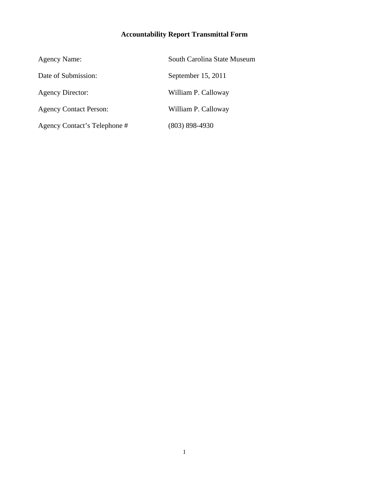# **Accountability Report Transmittal Form**

| <b>Agency Name:</b>           | South Carolina State Museum |
|-------------------------------|-----------------------------|
| Date of Submission:           | September 15, 2011          |
| <b>Agency Director:</b>       | William P. Calloway         |
| <b>Agency Contact Person:</b> | William P. Calloway         |
| Agency Contact's Telephone #  | $(803)$ 898-4930            |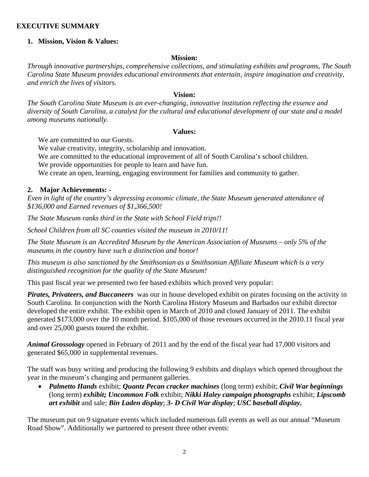#### **EXECUTIVE SUMMARY**

#### **1. Mission, Vision & Values:**

#### **Mission:**

*Through innovative partnerships, comprehensive collections, and stimulating exhibits and programs, The South Carolina State Museum provides educational environments that entertain, inspire imagination and creativity, and enrich the lives of visitors.* 

#### **Vision:**

*The South Carolina State Museum is an ever-changing, innovative institution reflecting the essence and diversity of South Carolina, a catalyst for the cultural and educational development of our state and a model among museums nationally.* 

#### **Values:**

We are committed to our Guests.

We value creativity, integrity, scholarship and innovation.

We are committed to the educational improvement of all of South Carolina's school children.

We provide opportunities for people to learn and have fun.

We create an open, learning, engaging environment for families and community to gather.

#### **2. Major Achievements: -**

*Even in light of the country's depressing economic climate, the State Museum generated attendance of \$136,000 and Earned revenues of \$1,366,500!* 

*The State Museum ranks third in the State with School Field trips!!* 

*School Children from all SC counties visited the museum in 2010/11!* 

*The State Museum is an Accredited Museum by the American Association of Museums – only 5% of the museums in the country have such a distinction and honor!* 

*This museum is also sanctioned by the Smithsonian as a Smithsonian Affiliate Museum which is a very distinguished recognition for the quality of the State Museum!*

This past fiscal year we presented two fee based exhibits which proved very popular:

*Pirates, Privateers, and Buccaneers* was our in house developed exhibit on pirates focusing on the activity in South Carolina. In conjunction with the North Carolina History Museum and Barbados our exhibit director developed the entire exhibit. The exhibit open in March of 2010 and closed January of 2011. The exhibit generated \$173,000 over the 10 month period. \$105,000 of those revenues occurred in the 2010.11 fiscal year and over 25,000 guests toured the exhibit.

*Animal Grossology* opened in February of 2011 and by the end of the fiscal year had 17,000 visitors and generated \$65,000 in supplemental revenues.

The staff was busy writing and producing the following 9 exhibits and displays which opened throughout the year in the museum's changing and permanent galleries.

• *Palmetto Hands* exhibit; *Quantz Pecan cracker machines* (long term) exhibit; *Civil War beginnings*  (long term) *exhibit; Uncommon Folk* exhibit; *Nikki Haley campaign photographs* exhibit; *Lipscomb art exhibit* and sale; *Bin Laden display*; *3- D Civil War display*; *USC baseball display.*

The museum put on 9 signature events which included numerous fall events as well as our annual "Museum Road Show". Additionally we partnered to present three other events: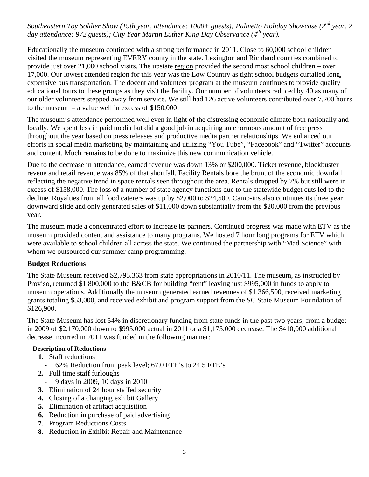#### *Southeastern Toy Soldier Show (19th year, attendance: 1000+ guests); Palmetto Holiday Showcase (2<sup>nd</sup> year, 2 day attendance: 972 guests); City Year Martin Luther King Day Observance (4th year).*

Educationally the museum continued with a strong performance in 2011. Close to 60,000 school children visited the museum representing EVERY county in the state. Lexington and Richland counties combined to provide just over 21,000 school visits. The upstate region provided the second most school children – over 17,000. Our lowest attended region for this year was the Low Country as tight school budgets curtailed long, expensive bus transportation. The docent and volunteer program at the museum continues to provide quality educational tours to these groups as they visit the facility. Our number of volunteers reduced by 40 as many of our older volunteers stepped away from service. We still had 126 active volunteers contributed over 7,200 hours to the museum – a value well in excess of \$150,000!

The museum's attendance performed well even in light of the distressing economic climate both nationally and locally. We spent less in paid media but did a good job in acquiring an enormous amount of free press throughout the year based on press releases and productive media partner relationships. We enhanced our efforts in social media marketing by maintaining and utilizing "You Tube", "Facebook" and "Twitter" accounts and content. Much remains to be done to maximize this new communication vehicle.

Due to the decrease in attendance, earned revenue was down 13% or \$200,000. Ticket revenue, blockbuster reveue and retail revenue was 85% of that shortfall. Facility Rentals bore the brunt of the economic downfall reflecting the negative trend in space rentals seen throughout the area. Rentals dropped by 7% but still were in excess of \$158,000. The loss of a number of state agency functions due to the statewide budget cuts led to the decline. Royalties from all food caterers was up by \$2,000 to \$24,500. Camp-ins also continues its three year downward slide and only generated sales of \$11,000 down substantially from the \$20,000 from the previous year.

The museum made a concentrated effort to increase its partners. Continued progress was made with ETV as the museum provided content and assistance to many programs. We hosted 7 hour long programs for ETV which were available to school children all across the state. We continued the partnership with "Mad Science" with whom we outsourced our summer camp programming.

#### **Budget Reductions**

The State Museum received \$2,795.363 from state appropriations in 2010/11. The museum, as instructed by Proviso, returned \$1,800,000 to the B&CB for building "rent" leaving just \$995,000 in funds to apply to museum operations. Additionally the museum generated earned revenues of \$1,366,500, received marketing grants totaling \$53,000, and received exhibit and program support from the SC State Museum Foundation of \$126,900.

The State Museum has lost 54% in discretionary funding from state funds in the past two years; from a budget in 2009 of \$2,170,000 down to \$995,000 actual in 2011 or a \$1,175,000 decrease. The \$410,000 additional decrease incurred in 2011 was funded in the following manner:

#### **Description of Reductions**

- **1.** Staff reductions
	- 62% Reduction from peak level; 67.0 FTE's to 24.5 FTE's
- **2.** Full time staff furloughs
- 9 days in 2009, 10 days in 2010
- **3.** Elimination of 24 hour staffed security
- **4.** Closing of a changing exhibit Gallery
- **5.** Elimination of artifact acquisition
- **6.** Reduction in purchase of paid advertising
- **7.** Program Reductions Costs
- **8.** Reduction in Exhibit Repair and Maintenance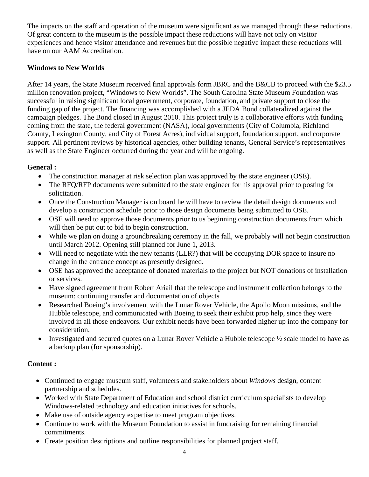The impacts on the staff and operation of the museum were significant as we managed through these reductions. Of great concern to the museum is the possible impact these reductions will have not only on visitor experiences and hence visitor attendance and revenues but the possible negative impact these reductions will have on our AAM Accreditation.

### **Windows to New Worlds**

After 14 years, the State Museum received final approvals form JBRC and the B&CB to proceed with the \$23.5 million renovation project, "Windows to New Worlds". The South Carolina State Museum Foundation was successful in raising significant local government, corporate, foundation, and private support to close the funding gap of the project. The financing was accomplished with a JEDA Bond collateralized against the campaign pledges. The Bond closed in August 2010. This project truly is a collaborative efforts with funding coming from the state, the federal government (NASA), local governments (City of Columbia, Richland County, Lexington County, and City of Forest Acres), individual support, foundation support, and corporate support. All pertinent reviews by historical agencies, other building tenants, General Service's representatives as well as the State Engineer occurred during the year and will be ongoing.

#### **General :**

- The construction manager at risk selection plan was approved by the state engineer (OSE).
- The RFQ/RFP documents were submitted to the state engineer for his approval prior to posting for solicitation.
- Once the Construction Manager is on board he will have to review the detail design documents and develop a construction schedule prior to those design documents being submitted to OSE.
- OSE will need to approve those documents prior to us beginning construction documents from which will then be put out to bid to begin construction.
- While we plan on doing a groundbreaking ceremony in the fall, we probably will not begin construction until March 2012. Opening still planned for June 1, 2013.
- Will need to negotiate with the new tenants (LLR?) that will be occupying DOR space to insure no change in the entrance concept as presently designed.
- OSE has approved the acceptance of donated materials to the project but NOT donations of installation or services.
- Have signed agreement from Robert Ariail that the telescope and instrument collection belongs to the museum: continuing transfer and documentation of objects
- Researched Boeing's involvement with the Lunar Rover Vehicle, the Apollo Moon missions, and the Hubble telescope, and communicated with Boeing to seek their exhibit prop help, since they were involved in all those endeavors. Our exhibit needs have been forwarded higher up into the company for consideration.
- Investigated and secured quotes on a Lunar Rover Vehicle a Hubble telescope ½ scale model to have as a backup plan (for sponsorship).

### **Content :**

- Continued to engage museum staff, volunteers and stakeholders about *Windows* design, content partnership and schedules.
- Worked with State Department of Education and school district curriculum specialists to develop Windows-related technology and education initiatives for schools.
- Make use of outside agency expertise to meet program objectives.
- Continue to work with the Museum Foundation to assist in fundraising for remaining financial commitments.
- Create position descriptions and outline responsibilities for planned project staff.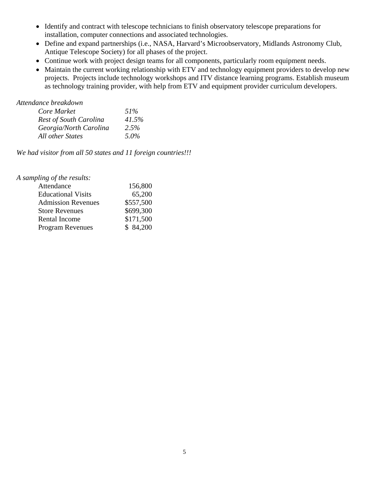- Identify and contract with telescope technicians to finish observatory telescope preparations for installation, computer connections and associated technologies.
- Define and expand partnerships (i.e., NASA, Harvard's Microobservatory, Midlands Astronomy Club, Antique Telescope Society) for all phases of the project.
- Continue work with project design teams for all components, particularly room equipment needs.
- Maintain the current working relationship with ETV and technology equipment providers to develop new projects. Projects include technology workshops and ITV distance learning programs. Establish museum as technology training provider, with help from ETV and equipment provider curriculum developers.

*Attendance breakdown* 

| Core Market                   | $51\%$ |
|-------------------------------|--------|
| <b>Rest of South Carolina</b> | 41.5%  |
| Georgia/North Carolina        | 2.5%   |
| All other States              | 5.0%   |

*We had visitor from all 50 states and 11 foreign countries!!!* 

| 156,800   |
|-----------|
| 65,200    |
| \$557,500 |
| \$699,300 |
| \$171,500 |
| \$84,200  |
|           |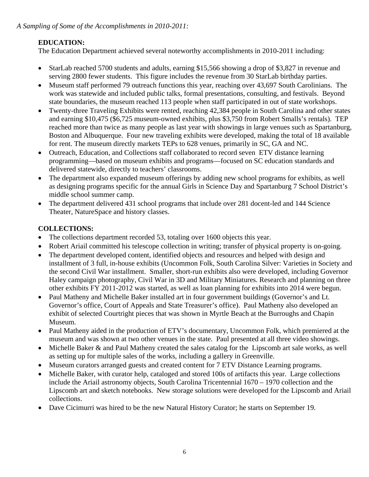*A Sampling of Some of the Accomplishments in 2010-2011:* 

# **EDUCATION:**

The Education Department achieved several noteworthy accomplishments in 2010-2011 including:

- StarLab reached 5700 students and adults, earning \$15,566 showing a drop of \$3,827 in revenue and serving 2800 fewer students. This figure includes the revenue from 30 StarLab birthday parties.
- Museum staff performed 79 outreach functions this year, reaching over 43,697 South Carolinians. The work was statewide and included public talks, formal presentations, consulting, and festivals. Beyond state boundaries, the museum reached 113 people when staff participated in out of state workshops.
- Twenty-three Traveling Exhibits were rented, reaching 42,384 people in South Carolina and other states and earning \$10,475 (\$6,725 museum-owned exhibits, plus \$3,750 from Robert Smalls's rentals). TEP reached more than twice as many people as last year with showings in large venues such as Spartanburg, Boston and Albuquerque. Four new traveling exhibits were developed, making the total of 18 available for rent. The museum directly markets TEPs to 628 venues, primarily in SC, GA and NC.
- Outreach, Education, and Collections staff collaborated to record seven ETV distance learning programming—based on museum exhibits and programs—focused on SC education standards and delivered statewide, directly to teachers' classrooms.
- The department also expanded museum offerings by adding new school programs for exhibits, as well as designing programs specific for the annual Girls in Science Day and Spartanburg 7 School District's middle school summer camp.
- The department delivered 431 school programs that include over 281 docent-led and 144 Science Theater, NatureSpace and history classes.

# **COLLECTIONS:**

- The collections department recorded 53, totaling over 1600 objects this year.
- Robert Ariail committed his telescope collection in writing; transfer of physical property is on-going.
- The department developed content, identified objects and resources and helped with design and installment of 3 full, in-house exhibits (Uncommon Folk, South Carolina Silver: Varieties in Society and the second Civil War installment. Smaller, short-run exhibits also were developed, including Governor Haley campaign photography, Civil War in 3D and Military Miniatures. Research and planning on three other exhibits FY 2011-2012 was started, as well as loan planning for exhibits into 2014 were begun.
- Paul Matheny and Michelle Baker installed art in four government buildings (Governor's and Lt. Governor's office, Court of Appeals and State Treasurer's office). Paul Matheny also developed an exhibit of selected Courtright pieces that was shown in Myrtle Beach at the Burroughs and Chapin Museum.
- Paul Matheny aided in the production of ETV's documentary, Uncommon Folk, which premiered at the museum and was shown at two other venues in the state. Paul presented at all three video showings.
- Michelle Baker & and Paul Matheny created the sales catalog for the Lipscomb art sale works, as well as setting up for multiple sales of the works, including a gallery in Greenville.
- Museum curators arranged guests and created content for 7 ETV Distance Learning programs.
- Michelle Baker, with curator help, cataloged and stored 100s of artifacts this year. Large collections include the Ariail astronomy objects, South Carolina Tricentennial 1670 – 1970 collection and the Lipscomb art and sketch notebooks. New storage solutions were developed for the Lipscomb and Ariail collections.
- Dave Cicimurri was hired to be the new Natural History Curator; he starts on September 19.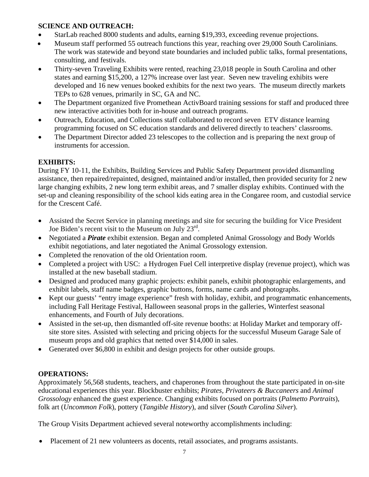### **SCIENCE AND OUTREACH:**

- StarLab reached 8000 students and adults, earning \$19,393, exceeding revenue projections.
- Museum staff performed 55 outreach functions this year, reaching over 29,000 South Carolinians. The work was statewide and beyond state boundaries and included public talks, formal presentations, consulting, and festivals.
- Thirty-seven Traveling Exhibits were rented, reaching 23,018 people in South Carolina and other states and earning \$15,200, a 127% increase over last year. Seven new traveling exhibits were developed and 16 new venues booked exhibits for the next two years. The museum directly markets TEPs to 628 venues, primarily in SC, GA and NC.
- The Department organized five Promethean ActivBoard training sessions for staff and produced three new interactive activities both for in-house and outreach programs.
- Outreach, Education, and Collections staff collaborated to record seven ETV distance learning programming focused on SC education standards and delivered directly to teachers' classrooms.
- The Department Director added 23 telescopes to the collection and is preparing the next group of instruments for accession.

# **EXHIBITS:**

During FY 10-11, the Exhibits, Building Services and Public Safety Department provided dismantling assistance, then repaired/repainted, designed, maintained and/or installed, then provided security for 2 new large changing exhibits, 2 new long term exhibit areas, and 7 smaller display exhibits. Continued with the set-up and cleaning responsibility of the school kids eating area in the Congaree room, and custodial service for the Crescent Café.

- Assisted the Secret Service in planning meetings and site for securing the building for Vice President Joe Biden's recent visit to the Museum on July 23rd.
- Negotiated a *Pirate* exhibit extension. Began and completed Animal Grossology and Body Worlds exhibit negotiations, and later negotiated the Animal Grossology extension.
- Completed the renovation of the old Orientation room.
- Completed a project with USC: a Hydrogen Fuel Cell interpretive display (revenue project), which was installed at the new baseball stadium.
- Designed and produced many graphic projects: exhibit panels, exhibit photographic enlargements, and exhibit labels, staff name badges, graphic buttons, forms, name cards and photographs.
- Kept our guests' "entry image experience" fresh with holiday, exhibit, and programmatic enhancements, including Fall Heritage Festival, Halloween seasonal props in the galleries, Winterfest seasonal enhancements, and Fourth of July decorations.
- Assisted in the set-up, then dismantled off-site revenue booths: at Holiday Market and temporary offsite store sites. Assisted with selecting and pricing objects for the successful Museum Garage Sale of museum props and old graphics that netted over \$14,000 in sales.
- Generated over \$6,800 in exhibit and design projects for other outside groups.

### **OPERATIONS:**

Approximately 56,568 students, teachers, and chaperones from throughout the state participated in on-site educational experiences this year. Blockbuster exhibits; *Pirates, Privateers & Buccaneers* and *Animal Grossology* enhanced the guest experience. Changing exhibits focused on portraits (*Palmetto Portraits*), folk art (*Uncommon Folk*), pottery (*Tangible History*), and silver (*South Carolina Silver*).

The Group Visits Department achieved several noteworthy accomplishments including:

• Placement of 21 new volunteers as docents, retail associates, and programs assistants.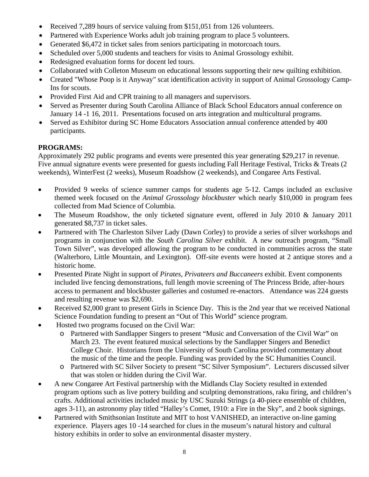- Received 7,289 hours of service valuing from \$151,051 from 126 volunteers.
- Partnered with Experience Works adult job training program to place 5 volunteers.
- Generated \$6,472 in ticket sales from seniors participating in motorcoach tours.
- Scheduled over 5,000 students and teachers for visits to Animal Grossology exhibit.
- Redesigned evaluation forms for docent led tours.
- Collaborated with Colleton Museum on educational lessons supporting their new quilting exhibition.
- Created "Whose Poop is it Anyway" scat identification activity in support of Animal Grossology Camp-Ins for scouts.
- Provided First Aid and CPR training to all managers and supervisors.
- Served as Presenter during South Carolina Alliance of Black School Educators annual conference on January 14 -1 16, 2011. Presentations focused on arts integration and multicultural programs.
- Served as Exhibitor during SC Home Educators Association annual conference attended by 400 participants.

### **PROGRAMS:**

Approximately 292 public programs and events were presented this year generating \$29,217 in revenue. Five annual signature events were presented for guests including Fall Heritage Festival, Tricks & Treats (2) weekends), WinterFest (2 weeks), Museum Roadshow (2 weekends), and Congaree Arts Festival.

- Provided 9 weeks of science summer camps for students age 5-12. Camps included an exclusive themed week focused on the *Animal Grossology blockbuster* which nearly \$10,000 in program fees collected from Mad Science of Columbia.
- The Museum Roadshow, the only ticketed signature event, offered in July 2010 & January 2011 generated \$8,737 in ticket sales.
- Partnered with The Charleston Silver Lady (Dawn Corley) to provide a series of silver workshops and programs in conjunction with the *South Carolina Silver* exhibit. A new outreach program, "Small Town Silver", was developed allowing the program to be conducted in communities across the state (Walterboro, Little Mountain, and Lexington). Off-site events were hosted at 2 antique stores and a historic home.
- Presented Pirate Night in support of *Pirates, Privateers and Buccaneers* exhibit. Event components included live fencing demonstrations, full length movie screening of The Princess Bride, after-hours access to permanent and blockbuster galleries and costumed re-enactors. Attendance was 224 guests and resulting revenue was \$2,690.
- Received \$2,000 grant to present Girls in Science Day. This is the 2nd year that we received National Science Foundation funding to present an "Out of This World" science program.
- Hosted two programs focused on the Civil War:
	- o Partnered with Sandlapper Singers to present "Music and Conversation of the Civil War" on March 23. The event featured musical selections by the Sandlapper Singers and Benedict College Choir. Historians from the University of South Carolina provided commentary about the music of the time and the people. Funding was provided by the SC Humanities Council.
	- o Partnered with SC Silver Society to present "SC Silver Symposium". Lecturers discussed silver that was stolen or hidden during the Civil War.
- A new Congaree Art Festival partnership with the Midlands Clay Society resulted in extended program options such as live pottery building and sculpting demonstrations, raku firing, and children's crafts. Additional activities included music by USC Suzuki Strings (a 40-piece ensemble of children, ages 3-11), an astronomy play titled "Halley's Comet, 1910: a Fire in the Sky", and 2 book signings.
- Partnered with Smithsonian Institute and MIT to host VANISHED, an interactive on-line gaming experience. Players ages 10 -14 searched for clues in the museum's natural history and cultural history exhibits in order to solve an environmental disaster mystery.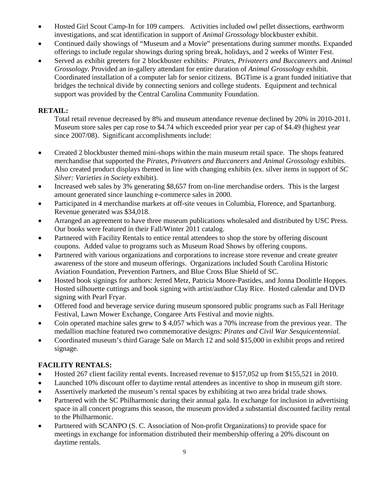- Hosted Girl Scout Camp-In for 109 campers. Activities included owl pellet dissections, earthworm investigations, and scat identification in support of *Animal Grossology* blockbuster exhibit.
- Continued daily showings of "Museum and a Movie" presentations during summer months. Expanded offerings to include regular showings during spring break, holidays, and 2 weeks of Winter Fest.
- Served as exhibit greeters for 2 blockbuster exhibits*: Pirates, Privateers and Buccaneers* and *Animal Grossology.* Provided an in-gallery attendant for entire duration of *Animal Grossology* exhibit. Coordinated installation of a computer lab for senior citizens. BGTime is a grant funded initiative that bridges the technical divide by connecting seniors and college students. Equipment and technical support was provided by the Central Carolina Community Foundation.

# **RETAIL:**

Total retail revenue decreased by 8% and museum attendance revenue declined by 20% in 2010-2011. Museum store sales per cap rose to \$4.74 which exceeded prior year per cap of \$4.49 (highest year since 2007/08). Significant accomplishments include:

- Created 2 blockbuster themed mini-shops within the main museum retail space. The shops featured merchandise that supported the *Pirates, Privateers and Buccaneers* and *Animal Grossology* exhibits. Also created product displays themed in line with changing exhibits (ex. silver items in support of *SC Silver: Varieties in Society* exhibit).
- Increased web sales by 3% generating \$8,657 from on-line merchandise orders. This is the largest amount generated since launching e-commerce sales in 2000.
- Participated in 4 merchandise markets at off-site venues in Columbia, Florence, and Spartanburg. Revenue generated was \$34,018.
- Arranged an agreement to have three museum publications wholesaled and distributed by USC Press. Our books were featured in their Fall/Winter 2011 catalog.
- Partnered with Facility Rentals to entice rental attendees to shop the store by offering discount coupons. Added value to programs such as Museum Road Shows by offering coupons.
- Partnered with various organizations and corporations to increase store revenue and create greater awareness of the store and museum offerings. Organizations included South Carolina Historic Aviation Foundation, Prevention Partners, and Blue Cross Blue Shield of SC.
- Hosted book signings for authors: Jerred Metz, Patricia Moore-Pastides, and Jonna Doolittle Hoppes. Hosted silhouette cuttings and book signing with artist/author Clay Rice. Hosted calendar and DVD signing with Pearl Fryar.
- Offered food and beverage service during museum sponsored public programs such as Fall Heritage Festival, Lawn Mower Exchange, Congaree Arts Festival and movie nights.
- Coin operated machine sales grew to \$ 4,057 which was a 70% increase from the previous year. The medallion machine featured two commemorative designs: *Pirates and Civil War Sesquicentennial.*
- Coordinated museum's third Garage Sale on March 12 and sold \$15,000 in exhibit props and retired signage.

# **FACILITY RENTALS:**

- Hosted 267 client facility rental events. Increased revenue to \$157,052 up from \$155,521 in 2010.
- Launched 10% discount offer to daytime rental attendees as incentive to shop in museum gift store.
- Assertively marketed the museum's rental spaces by exhibiting at two area bridal trade shows.
- Partnered with the SC Philharmonic during their annual gala. In exchange for inclusion in advertising space in all concert programs this season, the museum provided a substantial discounted facility rental to the Philharmonic.
- Partnered with SCANPO (S. C. Association of Non-profit Organizations) to provide space for meetings in exchange for information distributed their membership offering a 20% discount on daytime rentals.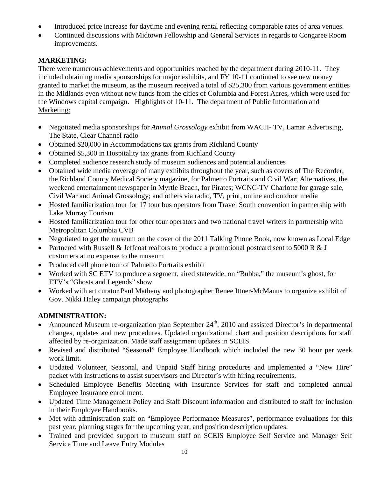- Introduced price increase for daytime and evening rental reflecting comparable rates of area venues.
- Continued discussions with Midtown Fellowship and General Services in regards to Congaree Room improvements.

### **MARKETING:**

There were numerous achievements and opportunities reached by the department during 2010-11. They included obtaining media sponsorships for major exhibits, and FY 10-11 continued to see new money granted to market the museum, as the museum received a total of \$25,300 from various government entities in the Midlands even without new funds from the cities of Columbia and Forest Acres, which were used for the Windows capital campaign. Highlights of 10-11. The department of Public Information and Marketing:

- Negotiated media sponsorships for *Animal Grossology* exhibit from WACH- TV, Lamar Advertising, The State, Clear Channel radio
- Obtained \$20,000 in Accommodations tax grants from Richland County
- Obtained \$5,300 in Hospitality tax grants from Richland County
- Completed audience research study of museum audiences and potential audiences
- Obtained wide media coverage of many exhibits throughout the year, such as covers of The Recorder, the Richland County Medical Society magazine, for Palmetto Portraits and Civil War; Alternatives, the weekend entertainment newspaper in Myrtle Beach, for Pirates; WCNC-TV Charlotte for garage sale, Civil War and Animal Grossology; and others via radio, TV, print, online and outdoor media
- Hosted familiarization tour for 17 tour bus operators from Travel South convention in partnership with Lake Murray Tourism
- Hosted familiarization tour for other tour operators and two national travel writers in partnership with Metropolitan Columbia CVB
- Negotiated to get the museum on the cover of the 2011 Talking Phone Book, now known as Local Edge
- Partnered with Russell & Jeffcoat realtors to produce a promotional postcard sent to 5000 R & J customers at no expense to the museum
- Produced cell phone tour of Palmetto Portraits exhibit
- Worked with SC ETV to produce a segment, aired statewide, on "Bubba," the museum's ghost, for ETV's "Ghosts and Legends" show
- Worked with art curator Paul Matheny and photographer Renee Ittner-McManus to organize exhibit of Gov. Nikki Haley campaign photographs

# **ADMINISTRATION:**

- Announced Museum re-organization plan September  $24<sup>th</sup>$ , 2010 and assisted Director's in departmental changes, updates and new procedures. Updated organizational chart and position descriptions for staff affected by re-organization. Made staff assignment updates in SCEIS.
- Revised and distributed "Seasonal" Employee Handbook which included the new 30 hour per week work limit.
- Updated Volunteer, Seasonal, and Unpaid Staff hiring procedures and implemented a "New Hire" packet with instructions to assist supervisors and Director's with hiring requirements.
- Scheduled Employee Benefits Meeting with Insurance Services for staff and completed annual Employee Insurance enrollment.
- Updated Time Management Policy and Staff Discount information and distributed to staff for inclusion in their Employee Handbooks.
- Met with administration staff on "Employee Performance Measures", performance evaluations for this past year, planning stages for the upcoming year, and position description updates.
- Trained and provided support to museum staff on SCEIS Employee Self Service and Manager Self Service Time and Leave Entry Modules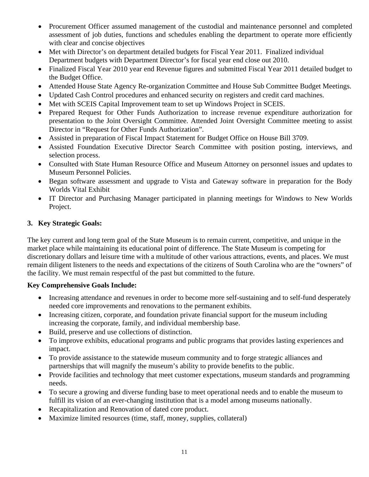- Procurement Officer assumed management of the custodial and maintenance personnel and completed assessment of job duties, functions and schedules enabling the department to operate more efficiently with clear and concise objectives
- Met with Director's on department detailed budgets for Fiscal Year 2011. Finalized individual Department budgets with Department Director's for fiscal year end close out 2010.
- Finalized Fiscal Year 2010 year end Revenue figures and submitted Fiscal Year 2011 detailed budget to the Budget Office.
- Attended House State Agency Re-organization Committee and House Sub Committee Budget Meetings.
- Updated Cash Control procedures and enhanced security on registers and credit card machines.
- Met with SCEIS Capital Improvement team to set up Windows Project in SCEIS.
- Prepared Request for Other Funds Authorization to increase revenue expenditure authorization for presentation to the Joint Oversight Committee. Attended Joint Oversight Committee meeting to assist Director in "Request for Other Funds Authorization".
- Assisted in preparation of Fiscal Impact Statement for Budget Office on House Bill 3709.
- Assisted Foundation Executive Director Search Committee with position posting, interviews, and selection process.
- Consulted with State Human Resource Office and Museum Attorney on personnel issues and updates to Museum Personnel Policies.
- Began software assessment and upgrade to Vista and Gateway software in preparation for the Body Worlds Vital Exhibit
- IT Director and Purchasing Manager participated in planning meetings for Windows to New Worlds Project.

# **3. Key Strategic Goals:**

The key current and long term goal of the State Museum is to remain current, competitive, and unique in the market place while maintaining its educational point of difference. The State Museum is competing for discretionary dollars and leisure time with a multitude of other various attractions, events, and places. We must remain diligent listeners to the needs and expectations of the citizens of South Carolina who are the "owners" of the facility. We must remain respectful of the past but committed to the future.

### **Key Comprehensive Goals Include:**

- Increasing attendance and revenues in order to become more self-sustaining and to self-fund desperately needed core improvements and renovations to the permanent exhibits.
- Increasing citizen, corporate, and foundation private financial support for the museum including increasing the corporate, family, and individual membership base.
- Build, preserve and use collections of distinction.
- To improve exhibits, educational programs and public programs that provides lasting experiences and impact.
- To provide assistance to the statewide museum community and to forge strategic alliances and partnerships that will magnify the museum's ability to provide benefits to the public.
- Provide facilities and technology that meet customer expectations, museum standards and programming needs.
- To secure a growing and diverse funding base to meet operational needs and to enable the museum to fulfill its vision of an ever-changing institution that is a model among museums nationally.
- Recapitalization and Renovation of dated core product.
- Maximize limited resources (time, staff, money, supplies, collateral)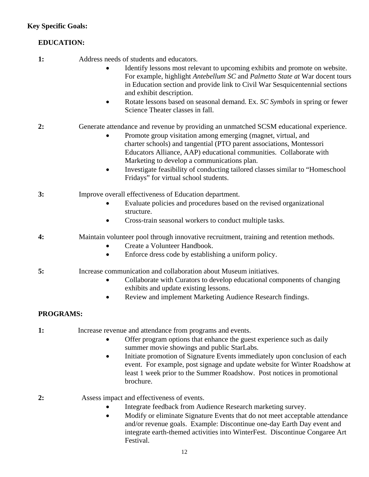# **EDUCATION:**

- **1:** Address needs of students and educators.
	- Identify lessons most relevant to upcoming exhibits and promote on website. For example, highlight *Antebellum SC* and *Palmetto State at* War docent tours in Education section and provide link to Civil War Sesquicentennial sections and exhibit description.
	- Rotate lessons based on seasonal demand. Ex. *SC Symbols* in spring or fewer Science Theater classes in fall.
- **2:** Generate attendance and revenue by providing an unmatched SCSM educational experience.
	- Promote group visitation among emerging (magnet, virtual, and charter schools) and tangential (PTO parent associations, Montessori Educators Alliance, AAP) educational communities. Collaborate with Marketing to develop a communications plan.
	- Investigate feasibility of conducting tailored classes similar to "Homeschool Fridays" for virtual school students.
- **3:** Improve overall effectiveness of Education department.
	- Evaluate policies and procedures based on the revised organizational structure.
	- Cross-train seasonal workers to conduct multiple tasks.
- **4:** Maintain volunteer pool through innovative recruitment, training and retention methods.
	- Create a Volunteer Handbook.
	- Enforce dress code by establishing a uniform policy.
- **5:** Increase communication and collaboration about Museum initiatives.
	- Collaborate with Curators to develop educational components of changing exhibits and update existing lessons.
	- Review and implement Marketing Audience Research findings.

# **PROGRAMS:**

- **1:** Increase revenue and attendance from programs and events.
	- Offer program options that enhance the guest experience such as daily summer movie showings and public StarLabs.
	- Initiate promotion of Signature Events immediately upon conclusion of each event. For example, post signage and update website for Winter Roadshow at least 1 week prior to the Summer Roadshow. Post notices in promotional brochure.
- **2:** Assess impact and effectiveness of events.
	- Integrate feedback from Audience Research marketing survey.
	- Modify or eliminate Signature Events that do not meet acceptable attendance and/or revenue goals. Example: Discontinue one-day Earth Day event and integrate earth-themed activities into WinterFest. Discontinue Congaree Art Festival.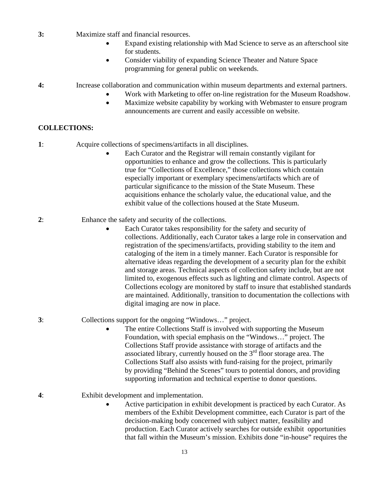- **3:** Maximize staff and financial resources.
	- Expand existing relationship with Mad Science to serve as an afterschool site for students.
	- Consider viability of expanding Science Theater and Nature Space programming for general public on weekends.

#### **4:** Increase collaboration and communication within museum departments and external partners.

- Work with Marketing to offer on-line registration for the Museum Roadshow.
	- Maximize website capability by working with Webmaster to ensure program announcements are current and easily accessible on website.

### **COLLECTIONS:**

- **1**: Acquire collections of specimens/artifacts in all disciplines.
	- Each Curator and the Registrar will remain constantly vigilant for opportunities to enhance and grow the collections. This is particularly true for "Collections of Excellence," those collections which contain especially important or exemplary specimens/artifacts which are of particular significance to the mission of the State Museum. These acquisitions enhance the scholarly value, the educational value, and the exhibit value of the collections housed at the State Museum.
- **2**: Enhance the safety and security of the collections.
	- Each Curator takes responsibility for the safety and security of collections. Additionally, each Curator takes a large role in conservation and registration of the specimens/artifacts, providing stability to the item and cataloging of the item in a timely manner. Each Curator is responsible for alternative ideas regarding the development of a security plan for the exhibit and storage areas. Technical aspects of collection safety include, but are not limited to, exogenous effects such as lighting and climate control. Aspects of Collections ecology are monitored by staff to insure that established standards are maintained. Additionally, transition to documentation the collections with digital imaging are now in place.
- **3**: Collections support for the ongoing "Windows…" project.
	- The entire Collections Staff is involved with supporting the Museum Foundation, with special emphasis on the "Windows…" project. The Collections Staff provide assistance with storage of artifacts and the associated library, currently housed on the  $3<sup>rd</sup>$  floor storage area. The Collections Staff also assists with fund-raising for the project, primarily by providing "Behind the Scenes" tours to potential donors, and providing supporting information and technical expertise to donor questions.

**4**: Exhibit development and implementation.

• Active participation in exhibit development is practiced by each Curator. As members of the Exhibit Development committee, each Curator is part of the decision-making body concerned with subject matter, feasibility and production. Each Curator actively searches for outside exhibit opportunities that fall within the Museum's mission. Exhibits done "in-house" requires the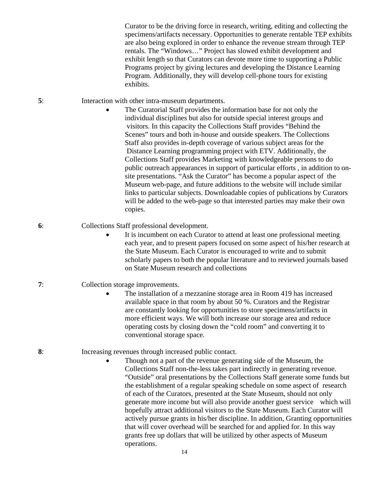Curator to be the driving force in research, writing, editing and collecting the specimens/artifacts necessary. Opportunities to generate rentable TEP exhibits are also being explored in order to enhance the revenue stream through TEP rentals. The "Windows…" Project has slowed exhibit development and exhibit length so that Curators can devote more time to supporting a Public Programs project by giving lectures and developing the Distance Learning Program. Additionally, they will develop cell-phone tours for existing exhibits.

- **5**: Interaction with other intra-museum departments.
	- The Curatorial Staff provides the information base for not only the individual disciplines but also for outside special interest groups and visitors. In this capacity the Collections Staff provides "Behind the Scenes" tours and both in-house and outside speakers. The Collections Staff also provides in-depth coverage of various subject areas for the Distance Learning programming project with ETV. Additionally, the Collections Staff provides Marketing with knowledgeable persons to do public outreach appearances in support of particular efforts , in addition to onsite presentations. "Ask the Curator" has become a popular aspect of the Museum web-page, and future additions to the website will include similar links to particular subjects. Downloadable copies of publications by Curators will be added to the web-page so that interested parties may make their own copies.
- **6**: Collections Staff professional development.
	- It is incumbent on each Curator to attend at least one professional meeting each year, and to present papers focused on some aspect of his/her research at the State Museum. Each Curator is encouraged to write and to submit scholarly papers to both the popular literature and to reviewed journals based on State Museum research and collections
- **7**: Collection storage improvements.
	- The installation of a mezzanine storage area in Room 419 has increased available space in that room by about 50 %. Curators and the Registrar are constantly looking for opportunities to store specimens/artifacts in more efficient ways. We will both increase our storage area and reduce operating costs by closing down the "cold room" and converting it to conventional storage space.
- **8**: Increasing revenues through increased public contact.
	- Though not a part of the revenue generating side of the Museum, the Collections Staff non-the-less takes part indirectly in generating revenue. "Outside" oral presentations by the Collections Staff generate some funds but the establishment of a regular speaking schedule on some aspect of research of each of the Curators, presented at the State Museum, should not only generate more income but will also provide another guest service which will hopefully attract additional visitors to the State Museum. Each Curator will actively pursue grants in his/her discipline. In addition, Granting opportunities that will cover overhead will be searched for and applied for. In this way grants free up dollars that will be utilized by other aspects of Museum operations.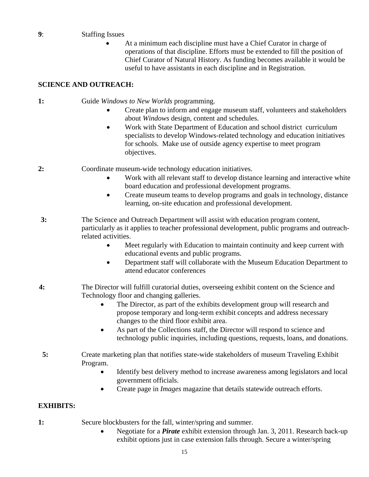#### **9**: Staffing Issues

• At a minimum each discipline must have a Chief Curator in charge of operations of that discipline. Efforts must be extended to fill the position of Chief Curator of Natural History. As funding becomes available it would be useful to have assistants in each discipline and in Registration.

#### **SCIENCE AND OUTREACH:**

**1:** Guide *Windows to New Worlds* programming.

- Create plan to inform and engage museum staff, volunteers and stakeholders about *Windows* design, content and schedules.
- Work with State Department of Education and school district curriculum specialists to develop Windows-related technology and education initiatives for schools. Make use of outside agency expertise to meet program objectives.

**2:** Coordinate museum-wide technology education initiatives.

- Work with all relevant staff to develop distance learning and interactive white board education and professional development programs.
- Create museum teams to develop programs and goals in technology, distance learning, on-site education and professional development.
- **3:** The Science and Outreach Department will assist with education program content, particularly as it applies to teacher professional development, public programs and outreachrelated activities.
	- Meet regularly with Education to maintain continuity and keep current with educational events and public programs.
	- Department staff will collaborate with the Museum Education Department to attend educator conferences
- **4:** The Director will fulfill curatorial duties, overseeing exhibit content on the Science and Technology floor and changing galleries.
	- The Director, as part of the exhibits development group will research and propose temporary and long-term exhibit concepts and address necessary changes to the third floor exhibit area.
	- As part of the Collections staff, the Director will respond to science and technology public inquiries, including questions, requests, loans, and donations.
- **5:** Create marketing plan that notifies state-wide stakeholders of museum Traveling Exhibit Program.
	- Identify best delivery method to increase awareness among legislators and local government officials.
	- Create page in *Images* magazine that details statewide outreach efforts.

#### **EXHIBITS:**

- **1:** Secure blockbusters for the fall, winter/spring and summer.
	- Negotiate for a *Pirate* exhibit extension through Jan. 3, 2011. Research back-up exhibit options just in case extension falls through. Secure a winter/spring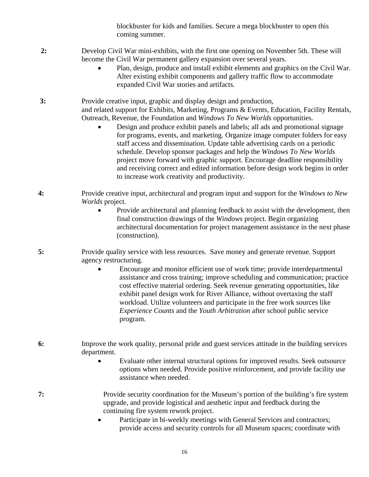blockbuster for kids and families. Secure a mega blockbuster to open this coming summer.

- **2:** Develop Civil War mini-exhibits, with the first one opening on November 5th. These will become the Civil War permanent gallery expansion over several years.
	- Plan, design, produce and install exhibit elements and graphics on the Civil War. Alter existing exhibit components and gallery traffic flow to accommodate expanded Civil War stories and artifacts.
- **3:** Provide creative input, graphic and display design and production, and related support for Exhibits, Marketing, Programs & Events, Education, Facility Rentals, Outreach, Revenue, the Foundation and *Windows To New Worlds* opportunities.
	- Design and produce exhibit panels and labels; all ads and promotional signage for programs, events, and marketing. Organize image computer folders for easy staff access and dissemination. Update table advertising cards on a periodic schedule. Develop sponsor packages and help the *Windows To New Worlds* project move forward with graphic support. Encourage deadline responsibility and receiving correct and edited information before design work begins in order to increase work creativity and productivity.
- **4:** Provide creative input, architectural and program input and support for the *Windows to New Worlds* project.
	- Provide architectural and planning feedback to assist with the development, then final construction drawings of the *Windows* project. Begin organizing architectural documentation for project management assistance in the next phase (construction).
- **5:** Provide quality service with less resources. Save money and generate revenue. Support agency restructuring.
	- Encourage and monitor efficient use of work time; provide interdepartmental assistance and cross training; improve scheduling and communication; practice cost effective material ordering. Seek revenue generating opportunities, like exhibit panel design work for River Alliance, without overtaxing the staff workload. Utilize volunteers and participate in the free work sources like *Experience Counts* and the *Youth Arbitration* after school public service program.
- **6:** Improve the work quality, personal pride and guest services attitude in the building services department.
	- Evaluate other internal structural options for improved results. Seek outsource options when needed. Provide positive reinforcement, and provide facility use assistance when needed.
- **7:** Provide security coordination for the Museum's portion of the building's fire system upgrade, and provide logistical and aesthetic input and feedback during the continuing fire system rework project.
	- Participate in bi-weekly meetings with General Services and contractors; provide access and security controls for all Museum spaces; coordinate with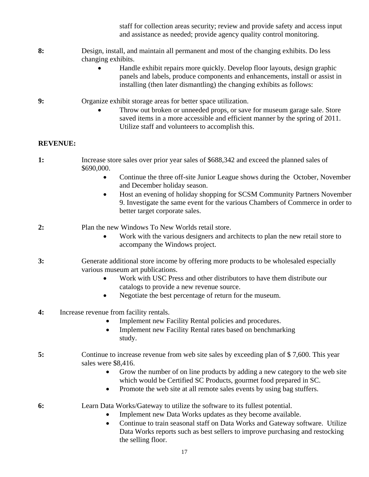staff for collection areas security; review and provide safety and access input and assistance as needed; provide agency quality control monitoring.

#### **8:** Design, install, and maintain all permanent and most of the changing exhibits. Do less changing exhibits.

- Handle exhibit repairs more quickly. Develop floor layouts, design graphic panels and labels, produce components and enhancements, install or assist in installing (then later dismantling) the changing exhibits as follows:
- **9:** Organize exhibit storage areas for better space utilization.
	- Throw out broken or unneeded props, or save for museum garage sale. Store saved items in a more accessible and efficient manner by the spring of 2011. Utilize staff and volunteers to accomplish this.

#### **REVENUE:**

- **1:** Increase store sales over prior year sales of \$688,342 and exceed the planned sales of \$690,000.
	- Continue the three off-site Junior League shows during the October, November and December holiday season.
	- Host an evening of holiday shopping for SCSM Community Partners November 9. Investigate the same event for the various Chambers of Commerce in order to better target corporate sales.
- **2:** Plan the new Windows To New Worlds retail store.
	- Work with the various designers and architects to plan the new retail store to accompany the Windows project.
- **3:** Generate additional store income by offering more products to be wholesaled especially various museum art publications.
	- Work with USC Press and other distributors to have them distribute our catalogs to provide a new revenue source.
	- Negotiate the best percentage of return for the museum.
- **4:** Increase revenue from facility rentals.
	- Implement new Facility Rental policies and procedures.
	- Implement new Facility Rental rates based on benchmarking study.

#### **5:** Continue to increase revenue from web site sales by exceeding plan of \$ 7,600. This year sales were \$8,416.

- Grow the number of on line products by adding a new category to the web site which would be Certified SC Products, gourmet food prepared in SC.
- Promote the web site at all remote sales events by using bag stuffers.
- **6:** Learn Data Works/Gateway to utilize the software to its fullest potential.
	- Implement new Data Works updates as they become available.
	- Continue to train seasonal staff on Data Works and Gateway software. Utilize Data Works reports such as best sellers to improve purchasing and restocking the selling floor.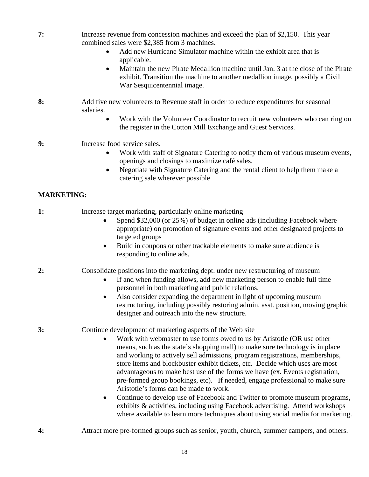- **7:** Increase revenue from concession machines and exceed the plan of \$2,150. This year combined sales were \$2,385 from 3 machines.
	- Add new Hurricane Simulator machine within the exhibit area that is applicable.
	- Maintain the new Pirate Medallion machine until Jan. 3 at the close of the Pirate exhibit. Transition the machine to another medallion image, possibly a Civil War Sesquicentennial image.
- **8:** Add five new volunteers to Revenue staff in order to reduce expenditures for seasonal salaries.
	- Work with the Volunteer Coordinator to recruit new volunteers who can ring on the register in the Cotton Mill Exchange and Guest Services.
- **9:** Increase food service sales.
	- Work with staff of Signature Catering to notify them of various museum events, openings and closings to maximize café sales.
	- Negotiate with Signature Catering and the rental client to help them make a catering sale wherever possible

### **MARKETING:**

- **1:** Increase target marketing, particularly online marketing
	- Spend \$32,000 (or 25%) of budget in online ads (including Facebook where appropriate) on promotion of signature events and other designated projects to targeted groups
	- Build in coupons or other trackable elements to make sure audience is responding to online ads.
- **2:** Consolidate positions into the marketing dept. under new restructuring of museum
	- If and when funding allows, add new marketing person to enable full time personnel in both marketing and public relations.
	- Also consider expanding the department in light of upcoming museum restructuring, including possibly restoring admin. asst. position, moving graphic designer and outreach into the new structure.
- **3:** Continue development of marketing aspects of the Web site
	- Work with webmaster to use forms owed to us by Aristotle (OR use other means, such as the state's shopping mall) to make sure technology is in place and working to actively sell admissions, program registrations, memberships, store items and blockbuster exhibit tickets, etc. Decide which uses are most advantageous to make best use of the forms we have (ex. Events registration, pre-formed group bookings, etc). If needed, engage professional to make sure Aristotle's forms can be made to work.
	- Continue to develop use of Facebook and Twitter to promote museum programs, exhibits & activities, including using Facebook advertising. Attend workshops where available to learn more techniques about using social media for marketing.
- **4:** Attract more pre-formed groups such as senior, youth, church, summer campers, and others.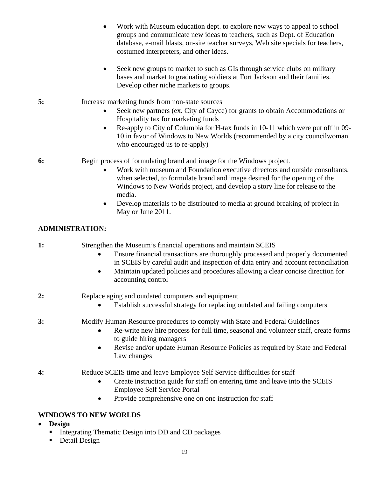- Work with Museum education dept. to explore new ways to appeal to school groups and communicate new ideas to teachers, such as Dept. of Education database, e-mail blasts, on-site teacher surveys, Web site specials for teachers, costumed interpreters, and other ideas.
- Seek new groups to market to such as GIs through service clubs on military bases and market to graduating soldiers at Fort Jackson and their families. Develop other niche markets to groups.
- **5:** Increase marketing funds from non-state sources
	- Seek new partners (ex. City of Cayce) for grants to obtain Accommodations or Hospitality tax for marketing funds
	- Re-apply to City of Columbia for H-tax funds in 10-11 which were put off in 09- 10 in favor of Windows to New Worlds (recommended by a city councilwoman who encouraged us to re-apply)

**6:** Begin process of formulating brand and image for the Windows project.

- Work with museum and Foundation executive directors and outside consultants, when selected, to formulate brand and image desired for the opening of the Windows to New Worlds project, and develop a story line for release to the media.
- Develop materials to be distributed to media at ground breaking of project in May or June 2011.

# **ADMINISTRATION:**

| 1: | Strengthen the Museum's financial operations and maintain SCEIS |  |  |  |
|----|-----------------------------------------------------------------|--|--|--|
|----|-----------------------------------------------------------------|--|--|--|

- Ensure financial transactions are thoroughly processed and properly documented in SCEIS by careful audit and inspection of data entry and account reconciliation
- Maintain updated policies and procedures allowing a clear concise direction for accounting control
- **2:** Replace aging and outdated computers and equipment
	- Establish successful strategy for replacing outdated and failing computers
- **3:** Modify Human Resource procedures to comply with State and Federal Guidelines
	- Re-write new hire process for full time, seasonal and volunteer staff, create forms to guide hiring managers
	- Revise and/or update Human Resource Policies as required by State and Federal Law changes
- **4:** Reduce SCEIS time and leave Employee Self Service difficulties for staff
	- Create instruction guide for staff on entering time and leave into the SCEIS Employee Self Service Portal
	- Provide comprehensive one on one instruction for staff

### **WINDOWS TO NEW WORLDS**

- **Design** 
	- Integrating Thematic Design into DD and CD packages
	- Detail Design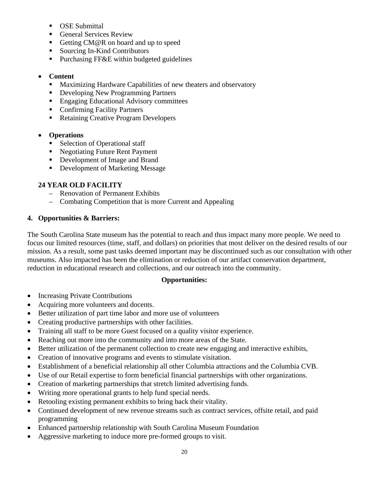- **OSE Submittal**
- General Services Review
- Getting CM@R on board and up to speed
- Sourcing In-Kind Contributors
- **Purchasing FF&E within budgeted guidelines**

### • **Content**

- **Maximizing Hardware Capabilities of new theaters and observatory**
- Developing New Programming Partners
- **Engaging Educational Advisory committees**
- **Confirming Facility Partners**
- Retaining Creative Program Developers

### • **Operations**

- **Selection of Operational staff**
- Negotiating Future Rent Payment
- Development of Image and Brand
- **Development of Marketing Message**

### **24 YEAR OLD FACILITY**

- Renovation of Permanent Exhibits
- Combating Competition that is more Current and Appealing

#### **4. Opportunities & Barriers:**

The South Carolina State museum has the potential to reach and thus impact many more people. We need to focus our limited resources (time, staff, and dollars) on priorities that most deliver on the desired results of our mission. As a result, some past tasks deemed important may be discontinued such as our consultation with other museums. Also impacted has been the elimination or reduction of our artifact conservation department, reduction in educational research and collections, and our outreach into the community.

#### **Opportunities:**

- Increasing Private Contributions
- Acquiring more volunteers and docents.
- Better utilization of part time labor and more use of volunteers
- Creating productive partnerships with other facilities.
- Training all staff to be more Guest focused on a quality visitor experience.
- Reaching out more into the community and into more areas of the State.
- Better utilization of the permanent collection to create new engaging and interactive exhibits,
- Creation of innovative programs and events to stimulate visitation.
- Establishment of a beneficial relationship all other Columbia attractions and the Columbia CVB.
- Use of our Retail expertise to form beneficial financial partnerships with other organizations.
- Creation of marketing partnerships that stretch limited advertising funds.
- Writing more operational grants to help fund special needs.
- Retooling existing permanent exhibits to bring back their vitality.
- Continued development of new revenue streams such as contract services, offsite retail, and paid programming
- Enhanced partnership relationship with South Carolina Museum Foundation
- Aggressive marketing to induce more pre-formed groups to visit.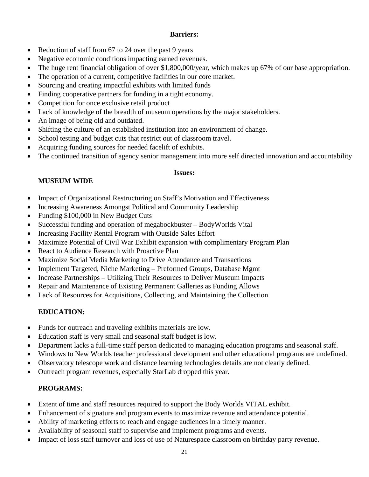### **Barriers:**

- Reduction of staff from 67 to 24 over the past 9 years
- Negative economic conditions impacting earned revenues.
- The huge rent financial obligation of over \$1,800,000/year, which makes up 67% of our base appropriation.
- The operation of a current, competitive facilities in our core market.
- Sourcing and creating impactful exhibits with limited funds
- Finding cooperative partners for funding in a tight economy.
- Competition for once exclusive retail product
- Lack of knowledge of the breadth of museum operations by the major stakeholders.
- An image of being old and outdated.
- Shifting the culture of an established institution into an environment of change.
- School testing and budget cuts that restrict out of classroom travel.
- Acquiring funding sources for needed facelift of exhibits.
- The continued transition of agency senior management into more self directed innovation and accountability

#### **Issues:**

# **MUSEUM WIDE**

- Impact of Organizational Restructuring on Staff's Motivation and Effectiveness
- Increasing Awareness Amongst Political and Community Leadership
- Funding \$100,000 in New Budget Cuts
- Successful funding and operation of megabockbuster BodyWorlds Vital
- Increasing Facility Rental Program with Outside Sales Effort
- Maximize Potential of Civil War Exhibit expansion with complimentary Program Plan
- React to Audience Research with Proactive Plan
- Maximize Social Media Marketing to Drive Attendance and Transactions
- Implement Targeted, Niche Marketing Preformed Groups, Database Mgmt
- Increase Partnerships Utilizing Their Resources to Deliver Museum Impacts
- Repair and Maintenance of Existing Permanent Galleries as Funding Allows
- Lack of Resources for Acquisitions, Collecting, and Maintaining the Collection

# **EDUCATION:**

- Funds for outreach and traveling exhibits materials are low.
- Education staff is very small and seasonal staff budget is low.
- Department lacks a full-time staff person dedicated to managing education programs and seasonal staff.
- Windows to New Worlds teacher professional development and other educational programs are undefined.
- Observatory telescope work and distance learning technologies details are not clearly defined.
- Outreach program revenues, especially StarLab dropped this year.

# **PROGRAMS:**

- Extent of time and staff resources required to support the Body Worlds VITAL exhibit.
- Enhancement of signature and program events to maximize revenue and attendance potential.
- Ability of marketing efforts to reach and engage audiences in a timely manner.
- Availability of seasonal staff to supervise and implement programs and events.
- Impact of loss staff turnover and loss of use of Naturespace classroom on birthday party revenue.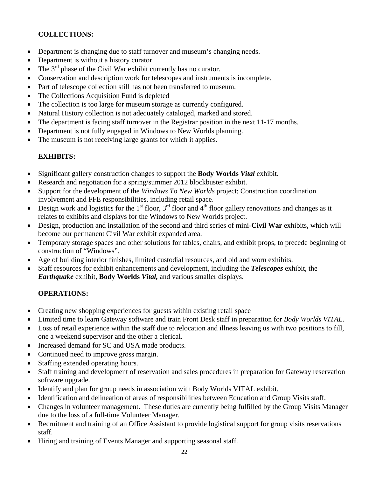# **COLLECTIONS:**

- Department is changing due to staff turnover and museum's changing needs.
- Department is without a history curator
- The  $3<sup>rd</sup>$  phase of the Civil War exhibit currently has no curator.
- Conservation and description work for telescopes and instruments is incomplete.
- Part of telescope collection still has not been transferred to museum.
- The Collections Acquisition Fund is depleted
- The collection is too large for museum storage as currently configured.
- Natural History collection is not adequately cataloged, marked and stored.
- The department is facing staff turnover in the Registrar position in the next 11-17 months.
- Department is not fully engaged in Windows to New Worlds planning.
- The museum is not receiving large grants for which it applies.

### **EXHIBITS:**

- Significant gallery construction changes to support the **Body Worlds** *Vital* exhibit.
- Research and negotiation for a spring/summer 2012 blockbuster exhibit.
- Support for the development of the *Windows To New Worlds* project; Construction coordination involvement and FFE responsibilities, including retail space.
- Design work and logistics for the 1<sup>st</sup> floor, 3<sup>rd</sup> floor and 4<sup>th</sup> floor gallery renovations and changes as it relates to exhibits and displays for the Windows to New Worlds project.
- Design, production and installation of the second and third series of mini-**Civil War** exhibits, which will become our permanent Civil War exhibit expanded area.
- Temporary storage spaces and other solutions for tables, chairs, and exhibit props, to precede beginning of construction of "Windows".
- Age of building interior finishes, limited custodial resources, and old and worn exhibits.
- Staff resources for exhibit enhancements and development, including the *Telescopes* exhibit, the *Earthquake* exhibit, **Body Worlds** *Vital,* and various smaller displays.

### **OPERATIONS:**

- Creating new shopping experiences for guests within existing retail space
- Limited time to learn Gateway software and train Front Desk staff in preparation for *Body Worlds VITAL*.
- Loss of retail experience within the staff due to relocation and illness leaving us with two positions to fill, one a weekend supervisor and the other a clerical.
- Increased demand for SC and USA made products.
- Continued need to improve gross margin.
- Staffing extended operating hours.
- Staff training and development of reservation and sales procedures in preparation for Gateway reservation software upgrade.
- Identify and plan for group needs in association with Body Worlds VITAL exhibit.
- Identification and delineation of areas of responsibilities between Education and Group Visits staff.
- Changes in volunteer management. These duties are currently being fulfilled by the Group Visits Manager due to the loss of a full-time Volunteer Manager.
- Recruitment and training of an Office Assistant to provide logistical support for group visits reservations staff.
- Hiring and training of Events Manager and supporting seasonal staff.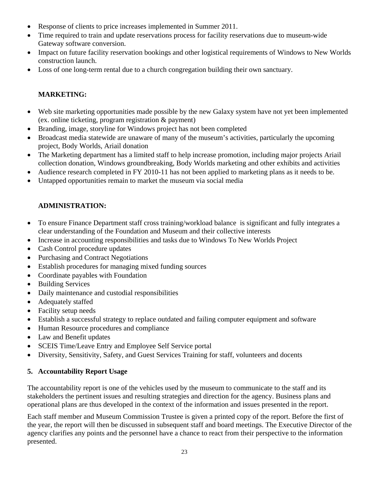- Response of clients to price increases implemented in Summer 2011.
- Time required to train and update reservations process for facility reservations due to museum-wide Gateway software conversion.
- Impact on future facility reservation bookings and other logistical requirements of Windows to New Worlds construction launch.
- Loss of one long-term rental due to a church congregation building their own sanctuary.

### **MARKETING:**

- Web site marketing opportunities made possible by the new Galaxy system have not yet been implemented (ex. online ticketing, program registration & payment)
- Branding, image, storyline for Windows project has not been completed
- Broadcast media statewide are unaware of many of the museum's activities, particularly the upcoming project, Body Worlds, Ariail donation
- The Marketing department has a limited staff to help increase promotion, including major projects Ariail collection donation, Windows groundbreaking, Body Worlds marketing and other exhibits and activities
- Audience research completed in FY 2010-11 has not been applied to marketing plans as it needs to be.
- Untapped opportunities remain to market the museum via social media

### **ADMINISTRATION:**

- To ensure Finance Department staff cross training/workload balance is significant and fully integrates a clear understanding of the Foundation and Museum and their collective interests
- Increase in accounting responsibilities and tasks due to Windows To New Worlds Project
- Cash Control procedure updates
- Purchasing and Contract Negotiations
- Establish procedures for managing mixed funding sources
- Coordinate payables with Foundation
- Building Services
- Daily maintenance and custodial responsibilities
- Adequately staffed
- Facility setup needs
- Establish a successful strategy to replace outdated and failing computer equipment and software
- Human Resource procedures and compliance
- Law and Benefit updates
- SCEIS Time/Leave Entry and Employee Self Service portal
- Diversity, Sensitivity, Safety, and Guest Services Training for staff, volunteers and docents

#### **5. Accountability Report Usage**

The accountability report is one of the vehicles used by the museum to communicate to the staff and its stakeholders the pertinent issues and resulting strategies and direction for the agency. Business plans and operational plans are thus developed in the context of the information and issues presented in the report.

Each staff member and Museum Commission Trustee is given a printed copy of the report. Before the first of the year, the report will then be discussed in subsequent staff and board meetings. The Executive Director of the agency clarifies any points and the personnel have a chance to react from their perspective to the information presented.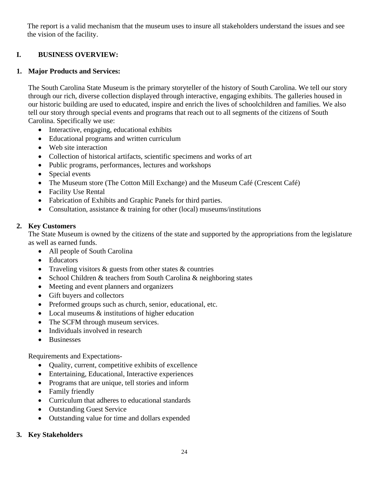The report is a valid mechanism that the museum uses to insure all stakeholders understand the issues and see the vision of the facility.

### **I. BUSINESS OVERVIEW:**

#### **1. Major Products and Services:**

The South Carolina State Museum is the primary storyteller of the history of South Carolina. We tell our story through our rich, diverse collection displayed through interactive, engaging exhibits. The galleries housed in our historic building are used to educated, inspire and enrich the lives of schoolchildren and families. We also tell our story through special events and programs that reach out to all segments of the citizens of South Carolina. Specifically we use:

- Interactive, engaging, educational exhibits
- Educational programs and written curriculum
- Web site interaction
- Collection of historical artifacts, scientific specimens and works of art
- Public programs, performances, lectures and workshops
- Special events
- The Museum store (The Cotton Mill Exchange) and the Museum Café (Crescent Café)
- Facility Use Rental
- Fabrication of Exhibits and Graphic Panels for third parties.
- Consultation, assistance & training for other (local) museums/institutions

#### **2. Key Customers**

The State Museum is owned by the citizens of the state and supported by the appropriations from the legislature as well as earned funds.

- All people of South Carolina
- Educators
- Traveling visitors & guests from other states & countries
- School Children & teachers from South Carolina & neighboring states
- Meeting and event planners and organizers
- Gift buyers and collectors
- Preformed groups such as church, senior, educational, etc.
- Local museums  $\&$  institutions of higher education
- The SCFM through museum services.
- Individuals involved in research
- Businesses

Requirements and Expectations-

- Quality, current, competitive exhibits of excellence
- Entertaining, Educational, Interactive experiences
- Programs that are unique, tell stories and inform
- Family friendly
- Curriculum that adheres to educational standards
- Outstanding Guest Service
- Outstanding value for time and dollars expended

#### **3. Key Stakeholders**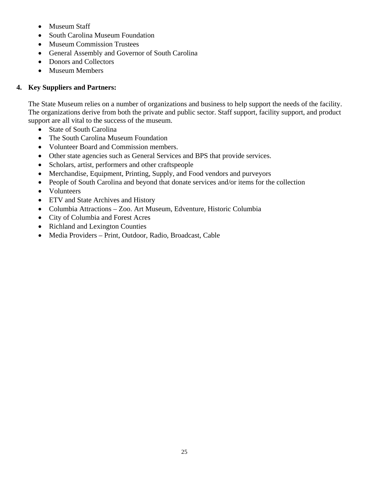- Museum Staff
- South Carolina Museum Foundation
- Museum Commission Trustees
- General Assembly and Governor of South Carolina
- Donors and Collectors
- Museum Members

### **4. Key Suppliers and Partners:**

The State Museum relies on a number of organizations and business to help support the needs of the facility. The organizations derive from both the private and public sector. Staff support, facility support, and product support are all vital to the success of the museum.

- State of South Carolina
- The South Carolina Museum Foundation
- Volunteer Board and Commission members.
- Other state agencies such as General Services and BPS that provide services.
- Scholars, artist, performers and other craftspeople
- Merchandise, Equipment, Printing, Supply, and Food vendors and purveyors
- People of South Carolina and beyond that donate services and/or items for the collection
- Volunteers
- ETV and State Archives and History
- Columbia Attractions Zoo. Art Museum, Edventure, Historic Columbia
- City of Columbia and Forest Acres
- Richland and Lexington Counties
- Media Providers Print, Outdoor, Radio, Broadcast, Cable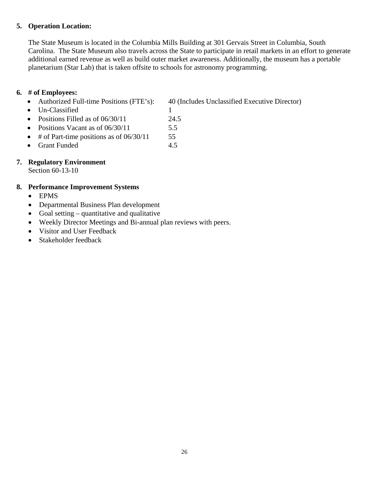#### **5. Operation Location:**

The State Museum is located in the Columbia Mills Building at 301 Gervais Street in Columbia, South Carolina. The State Museum also travels across the State to participate in retail markets in an effort to generate additional earned revenue as well as build outer market awareness. Additionally, the museum has a portable planetarium (Star Lab) that is taken offsite to schools for astronomy programming.

#### **6. # of Employees:**

• Authorized Full-time Positions (FTE's): 40 (Includes Unclassified Executive Director)

- Un-Classified 1
- Positions Filled as of 06/30/11 24.5
- Positions Vacant as of  $06/30/11$  5.5
- $\bullet$  # of Part-time positions as of 06/30/11 55
- Grant Funded 4.5

### **7. Regulatory Environment**

Section 60-13-10

### **8. Performance Improvement Systems**

- EPMS
- Departmental Business Plan development
- Goal setting quantitative and qualitative
- Weekly Director Meetings and Bi-annual plan reviews with peers.
- Visitor and User Feedback
- Stakeholder feedback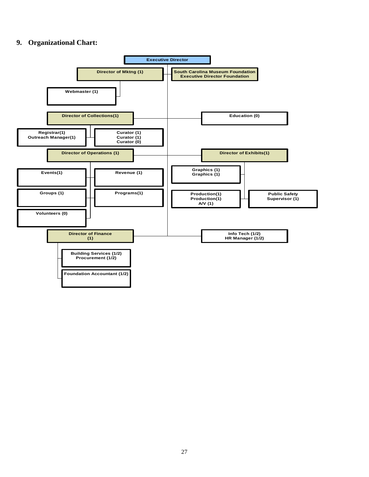#### **9. Organizational Chart:**

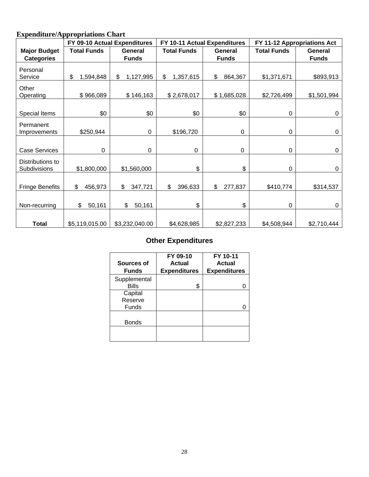# **Expenditure/Appropriations Chart**

|                        | FY 09-10 Actual Expenditures |                 |                    | FY 10-11 Actual Expenditures | FY 11-12 Appropriations Act |              |  |
|------------------------|------------------------------|-----------------|--------------------|------------------------------|-----------------------------|--------------|--|
| <b>Major Budget</b>    | <b>Total Funds</b>           | General         | <b>Total Funds</b> | General                      | <b>Total Funds</b>          | General      |  |
| <b>Categories</b>      |                              | <b>Funds</b>    |                    | <b>Funds</b>                 |                             | <b>Funds</b> |  |
| Personal               |                              |                 |                    |                              |                             |              |  |
| Service                | \$<br>1,594,848              | \$<br>1,127,995 | \$<br>1,357,615    | \$<br>864,367                | \$1,371,671                 | \$893,913    |  |
| Other                  |                              |                 |                    |                              |                             |              |  |
| Operating              | \$966,089                    | \$146,163       | \$2,678,017        | \$1,685,028                  | \$2,726,499                 | \$1,501,994  |  |
|                        |                              |                 |                    |                              |                             |              |  |
| Special Items          | \$0                          | \$0             | \$0                | \$0                          | 0                           | $\mathbf 0$  |  |
| Permanent              |                              |                 |                    |                              |                             |              |  |
| Improvements           | \$250,944                    | 0               | \$196,720          | 0                            | 0                           | $\mathbf 0$  |  |
|                        |                              |                 |                    |                              |                             |              |  |
| <b>Case Services</b>   | 0                            | 0               | $\mathbf 0$        | $\mathbf 0$                  | 0                           | $\mathbf 0$  |  |
| Distributions to       |                              |                 |                    |                              |                             |              |  |
| Subdivisions           | \$1,800,000                  | \$1,560,000     | \$                 | \$                           | $\mathbf 0$                 | 0            |  |
|                        |                              |                 |                    |                              |                             |              |  |
| <b>Fringe Benefits</b> | \$<br>456,973                | \$<br>347,721   | \$<br>396,633      | \$<br>277,837                | \$410,774                   | \$314,537    |  |
|                        |                              |                 |                    |                              |                             |              |  |
| Non-recurring          | 50,161<br>\$                 | \$<br>50,161    | \$                 | \$                           | $\mathbf 0$                 | 0            |  |
|                        |                              |                 |                    |                              |                             |              |  |
| <b>Total</b>           | \$5,119,015.00               | \$3,232,040.00  | \$4,628,985        | \$2,827,233                  | \$4,508,944                 | \$2,710,444  |  |

# **Other Expenditures**

| Sources of<br><b>Funds</b>   | FY 09-10<br><b>Actual</b><br><b>Expenditures</b> | FY 10-11<br><b>Actual</b><br><b>Expenditures</b> |
|------------------------------|--------------------------------------------------|--------------------------------------------------|
| Supplemental<br><b>Bills</b> | \$                                               | 0                                                |
| Capital<br>Reserve<br>Funds  |                                                  | 0                                                |
| <b>Bonds</b>                 |                                                  |                                                  |
|                              |                                                  |                                                  |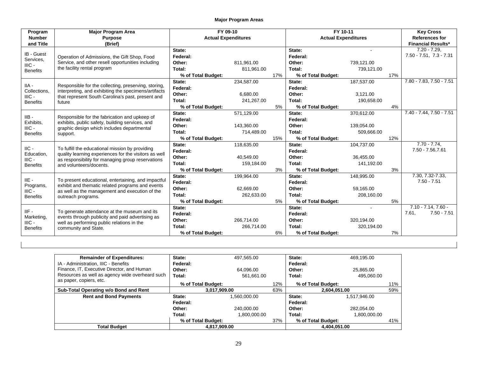| Program                | <b>Major Program Area</b>                                                                                                                                                                | FY 09-10                   |            |                            | FY 10-11           |            |                       | <b>Key Cross</b>             |
|------------------------|------------------------------------------------------------------------------------------------------------------------------------------------------------------------------------------|----------------------------|------------|----------------------------|--------------------|------------|-----------------------|------------------------------|
| <b>Number</b>          | <b>Purpose</b>                                                                                                                                                                           | <b>Actual Expenditures</b> |            | <b>Actual Expenditures</b> |                    |            | <b>References for</b> |                              |
| and Title              | (Brief)                                                                                                                                                                                  |                            |            |                            |                    |            |                       | <b>Financial Results*</b>    |
| IB - Guest             |                                                                                                                                                                                          | State:                     |            |                            | State:             |            |                       | $7.20 - 7.29$ .              |
| Services.<br>$HIC -$   | Operation of Admissions, the Gift Shop, Food                                                                                                                                             | Federal:                   |            |                            | Federal:           |            |                       | $7.50 - 7.51$ , $7.3 - 7.31$ |
|                        | Service, and other resell opportunities including                                                                                                                                        | Other:                     | 811.961.00 |                            | Other:             | 739,121.00 |                       |                              |
| <b>Benefits</b>        | the facility rental program                                                                                                                                                              | Total:                     | 811.961.00 |                            | Total:             | 739,121.00 |                       |                              |
|                        |                                                                                                                                                                                          | % of Total Budget:         |            | 17%                        | % of Total Budget: |            | 17%                   |                              |
|                        |                                                                                                                                                                                          | State:                     | 234.587.00 |                            | State:             | 187.537.00 |                       | 7.80 - 7.83, 7.50 - 7.51     |
| $HA -$<br>Collections, | Responsible for the collecting, preserving, storing,<br>interpreting, and exhibiting the specimens/artifacts                                                                             | Federal:                   |            |                            | Federal:           |            |                       |                              |
| $HIC -$                | that represent South Carolina's past, present and                                                                                                                                        | Other:                     | 6,680.00   |                            | Other:             | 3,121.00   |                       |                              |
| <b>Benefits</b>        | future                                                                                                                                                                                   | Total:                     | 241,267.00 |                            | Total:             | 190,658.00 |                       |                              |
|                        |                                                                                                                                                                                          | % of Total Budget:         |            | 5%                         | % of Total Budget: |            | 4%                    |                              |
|                        |                                                                                                                                                                                          | State:                     | 571,129.00 |                            | State:             | 370,612.00 |                       | $7.40 - 7.44, 7.50 - 7.51$   |
| IIB-<br>Exhibits,      | Responsible for the fabrication and upkeep of<br>exhibits, public safety, building services, and<br>graphic design which includes departmental<br>support.                               | Federal:                   |            |                            | Federal:           |            |                       |                              |
| $HIC -$                |                                                                                                                                                                                          | Other:                     | 143,360.00 |                            | Other:             | 139,054.00 |                       |                              |
| <b>Benefits</b>        |                                                                                                                                                                                          | Total:                     | 714,489.00 |                            | Total:             | 509,666.00 |                       |                              |
|                        |                                                                                                                                                                                          | % of Total Budget:         |            | 15%                        | % of Total Budget: |            | 12%                   |                              |
|                        |                                                                                                                                                                                          | State:                     | 118,635.00 |                            | State:             | 104,737.00 |                       | $7.70 - 7.74$ .              |
| $IC -$<br>Education,   | To fulfill the educational mission by providing<br>quality learning experiences for the visitors as well<br>as responsibility for managing group reservations<br>and volunteers/docents. | Federal:                   |            |                            | Federal:           |            |                       | 7.50 - 7.56,7.61             |
| $HIC -$                |                                                                                                                                                                                          | Other:                     | 40,549.00  |                            | Other:             | 36,455.00  |                       |                              |
| <b>Benefits</b>        |                                                                                                                                                                                          | Total:                     | 159,184.00 |                            | Total:             | 141,192.00 |                       |                              |
|                        |                                                                                                                                                                                          | % of Total Budget:         |            | 3%                         | % of Total Budget: |            | 3%                    |                              |
|                        |                                                                                                                                                                                          | State:                     | 199,964.00 |                            | State:             | 148,995.00 |                       | 7.30, 7.32-7.33,             |
| $IIE -$                | To present educational, entertaining, and impactful                                                                                                                                      | Federal:                   |            |                            | Federal:           |            |                       | $7.50 - 7.51$                |
| Programs,<br>$HIC -$   | exhibit and thematic related programs and events<br>as well as the management and execution of the                                                                                       | Other:                     | 62,669.00  |                            | Other:             | 59,165.00  |                       |                              |
| <b>Benefits</b>        | outreach programs.                                                                                                                                                                       | Total:                     | 262,633.00 |                            | Total:             | 208,160.00 |                       |                              |
|                        |                                                                                                                                                                                          | % of Total Budget:         |            | 5%                         | % of Total Budget: |            | 5%                    |                              |
|                        |                                                                                                                                                                                          | State:                     |            |                            | State:             |            |                       | $7.10 - 7.14, 7.60 -$        |
| IIF-                   | To generate attendance at the museum and its                                                                                                                                             | Federal:                   |            |                            | Federal:           |            |                       | 7.61,<br>$7.50 - 7.51$       |
| Marketing,<br>$HIC -$  | events through publicity and paid advertising as<br>well as performing public relations in the                                                                                           | Other:                     | 266.714.00 |                            | Other:             | 320,194.00 |                       |                              |
| <b>Benefits</b>        | community and State.                                                                                                                                                                     | Total:                     | 266,714.00 |                            | Total:             | 320,194.00 |                       |                              |
|                        |                                                                                                                                                                                          | % of Total Budget:         |            | 6%                         | % of Total Budget: |            | 7%                    |                              |

| <b>Remainder of Expenditures:</b>               | State:             | 497,565.00   |     | State:             | 469,195.00   |     |
|-------------------------------------------------|--------------------|--------------|-----|--------------------|--------------|-----|
| IA - Administration, IIIC - Benefits            | Federal:           |              |     | Federal:           |              |     |
| Finance, IT, Executive Director, and Human      | Other:             | 64,096.00    |     | Other:             | 25,865.00    |     |
| Resources as well as agency wide overheard such | Total:             | 561.661.00   |     | Total:             | 495.060.00   |     |
| as paper, copiers, etc.                         | % of Total Budget: |              | 12% | % of Total Budget: |              | 11% |
| Sub-Total Operating w/o Bond and Rent           | 3,017,909.00       |              | 63% | 2,604,051.00       |              | 59% |
| <b>Rent and Bond Payments</b>                   | State:             | 1,560,000.00 |     | State:             | 1,517,946.00 |     |
|                                                 | Federal:           |              |     | Federal:           |              |     |
|                                                 | Other:             | 240.000.00   |     | Other:             | 282,054.00   |     |
|                                                 | Total:             | 1,800,000.00 |     | Total:             | 1.800.000.00 |     |
|                                                 | % of Total Budget: |              | 37% | % of Total Budget: |              | 41% |
| <b>Total Budget</b>                             | 4.817.909.00       |              |     |                    | 4.404.051.00 |     |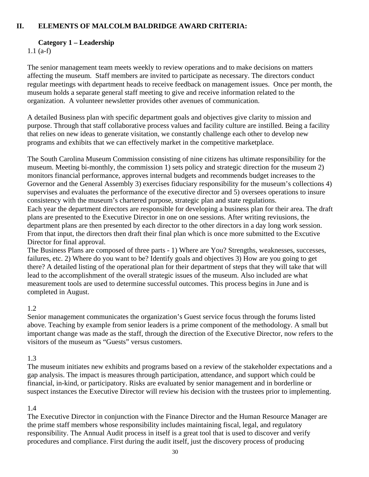#### **II. ELEMENTS OF MALCOLM BALDRIDGE AWARD CRITERIA:**

#### **Category 1 – Leadership**

1.1 (a-f)

The senior management team meets weekly to review operations and to make decisions on matters affecting the museum. Staff members are invited to participate as necessary. The directors conduct regular meetings with department heads to receive feedback on management issues. Once per month, the museum holds a separate general staff meeting to give and receive information related to the organization. A volunteer newsletter provides other avenues of communication.

A detailed Business plan with specific department goals and objectives give clarity to mission and purpose. Through that staff collaborative process values and facility culture are instilled. Being a facility that relies on new ideas to generate visitation, we constantly challenge each other to develop new programs and exhibits that we can effectively market in the competitive marketplace.

The South Carolina Museum Commission consisting of nine citizens has ultimate responsibility for the museum. Meeting bi-monthly, the commission 1) sets policy and strategic direction for the museum 2) monitors financial performance, approves internal budgets and recommends budget increases to the Governor and the General Assembly 3) exercises fiduciary responsibility for the museum's collections 4) supervises and evaluates the performance of the executive director and 5) oversees operations to insure consistency with the museum's chartered purpose, strategic plan and state regulations.

Each year the department directors are responsible for developing a business plan for their area. The draft plans are presented to the Executive Director in one on one sessions. After writing reviusions, the department plans are then presented by each director to the other directors in a day long work session. From that input, the directors then draft their final plan which is once more submitted to the Excutive Director for final approval.

The Business Plans are composed of three parts - 1) Where are You? Strengths, weaknesses, successes, failures, etc. 2) Where do you want to be? Identify goals and objectives 3) How are you going to get there? A detailed listing of the operational plan for their department of steps that they will take that will lead to the accomplishment of the overall strategic issues of the museum. Also included are what measurement tools are used to determine successful outcomes. This process begins in June and is completed in August.

#### 1.2

Senior management communicates the organization's Guest service focus through the forums listed above. Teaching by example from senior leaders is a prime component of the methodology. A small but important change was made as the staff, through the direction of the Executive Director, now refers to the visitors of the museum as "Guests" versus customers.

#### 1.3

The museum initiates new exhibits and programs based on a review of the stakeholder expectations and a gap analysis. The impact is measures through participation, attendance, and support which could be financial, in-kind, or participatory. Risks are evaluated by senior management and in borderline or suspect instances the Executive Director will review his decision with the trustees prior to implementing.

### 1.4

The Executive Director in conjunction with the Finance Director and the Human Resource Manager are the prime staff members whose responsibility includes maintaining fiscal, legal, and regulatory responsibility. The Annual Audit process in itself is a great tool that is used to discover and verify procedures and compliance. First during the audit itself, just the discovery process of producing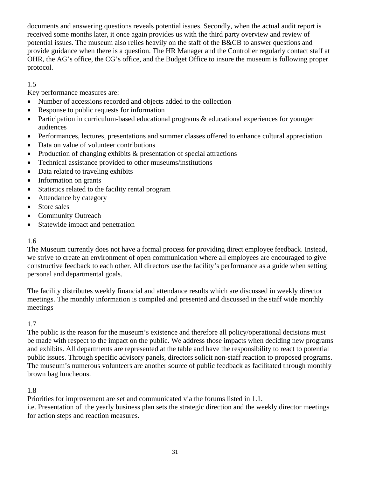documents and answering questions reveals potential issues. Secondly, when the actual audit report is received some months later, it once again provides us with the third party overview and review of potential issues. The museum also relies heavily on the staff of the B&CB to answer questions and provide guidance when there is a question. The HR Manager and the Controller regularly contact staff at OHR, the AG's office, the CG's office, and the Budget Office to insure the museum is following proper protocol.

### 1.5

Key performance measures are:

- Number of accessions recorded and objects added to the collection
- Response to public requests for information
- Participation in curriculum-based educational programs  $\&$  educational experiences for younger audiences
- Performances, lectures, presentations and summer classes offered to enhance cultural appreciation
- Data on value of volunteer contributions
- Production of changing exhibits & presentation of special attractions
- Technical assistance provided to other museums/institutions
- Data related to traveling exhibits
- Information on grants
- Statistics related to the facility rental program
- Attendance by category
- Store sales
- Community Outreach
- Statewide impact and penetration

### 1.6

The Museum currently does not have a formal process for providing direct employee feedback. Instead, we strive to create an environment of open communication where all employees are encouraged to give constructive feedback to each other. All directors use the facility's performance as a guide when setting personal and departmental goals.

The facility distributes weekly financial and attendance results which are discussed in weekly director meetings. The monthly information is compiled and presented and discussed in the staff wide monthly meetings

### 1.7

The public is the reason for the museum's existence and therefore all policy/operational decisions must be made with respect to the impact on the public. We address those impacts when deciding new programs and exhibits. All departments are represented at the table and have the responsibility to react to potential public issues. Through specific advisory panels, directors solicit non-staff reaction to proposed programs. The museum's numerous volunteers are another source of public feedback as facilitated through monthly brown bag luncheons.

### 1.8

Priorities for improvement are set and communicated via the forums listed in 1.1.

i.e. Presentation of the yearly business plan sets the strategic direction and the weekly director meetings for action steps and reaction measures.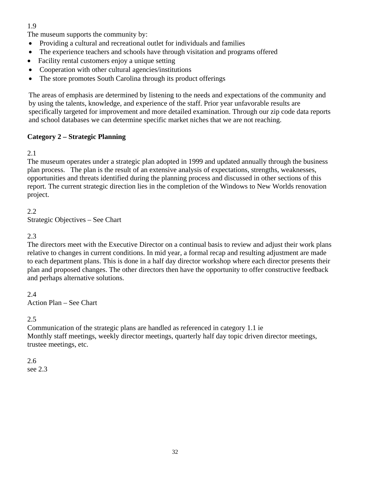### 1.9

The museum supports the community by:

- Providing a cultural and recreational outlet for individuals and families
- The experience teachers and schools have through visitation and programs offered
- Facility rental customers enjoy a unique setting
- Cooperation with other cultural agencies/institutions
- The store promotes South Carolina through its product offerings

The areas of emphasis are determined by listening to the needs and expectations of the community and by using the talents, knowledge, and experience of the staff. Prior year unfavorable results are specifically targeted for improvement and more detailed examination. Through our zip code data reports and school databases we can determine specific market niches that we are not reaching.

#### **Category 2 – Strategic Planning**

#### 2.1

The museum operates under a strategic plan adopted in 1999 and updated annually through the business plan process. The plan is the result of an extensive analysis of expectations, strengths, weaknesses, opportunities and threats identified during the planning process and discussed in other sections of this report. The current strategic direction lies in the completion of the Windows to New Worlds renovation project.

#### 2.2 Strategic Objectives – See Chart

### 2.3

The directors meet with the Executive Director on a continual basis to review and adjust their work plans relative to changes in current conditions. In mid year, a formal recap and resulting adjustment are made to each department plans. This is done in a half day director workshop where each director presents their plan and proposed changes. The other directors then have the opportunity to offer constructive feedback and perhaps alternative solutions.

2.4 Action Plan – See Chart

#### 2.5

Communication of the strategic plans are handled as referenced in category 1.1 ie Monthly staff meetings, weekly director meetings, quarterly half day topic driven director meetings, trustee meetings, etc.

# 2.6

see 2.3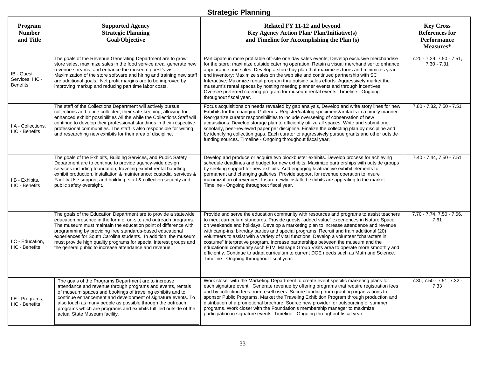# **Strategic Planning**

| Program<br><b>Number</b><br>and Title             | <b>Supported Agency</b><br><b>Strategic Planning</b><br>Goal/Objective                                                                                                                                                                                                                                                                                                                                                                                                   | Related FY 11-12 and beyond<br><b>Key Agency Action Plan/Plan/Initiative(s)</b><br>and Timeline for Accomplishing the Plan (s)                                                                                                                                                                                                                                                                                                                                                                                                                                                                                                                                                                                                                                                             | <b>Key Cross</b><br><b>References for</b><br><b>Performance</b><br>Measures* |
|---------------------------------------------------|--------------------------------------------------------------------------------------------------------------------------------------------------------------------------------------------------------------------------------------------------------------------------------------------------------------------------------------------------------------------------------------------------------------------------------------------------------------------------|--------------------------------------------------------------------------------------------------------------------------------------------------------------------------------------------------------------------------------------------------------------------------------------------------------------------------------------------------------------------------------------------------------------------------------------------------------------------------------------------------------------------------------------------------------------------------------------------------------------------------------------------------------------------------------------------------------------------------------------------------------------------------------------------|------------------------------------------------------------------------------|
| IB - Guest<br>Services, IIIC -<br><b>Benefits</b> | The goals of the Revenue Generating Department are to grow<br>store sales, maximize sales in the food service area, generate new<br>revenue streams, and enhance the museum guest's visit.<br>Maximization of the store software and hiring and training new staff<br>are additional goals. Net profit margins are to be improved by<br>improving markup and reducing part time labor costs.                                                                             | Participate in more profitable off-site one day sales events; Develop exclusive merchandise<br>for the store; maximize outside catering operation; Retain a visual merchandiser to enhance<br>appearance and sales; Develop a store buy plan that maximizes turns and minimizes year<br>end inventory; Maximize sales on the web site and continued partnership with SC<br>Interactive; Maximize rental program thru outside sales efforts. Aggressively market the<br>museum's rental spaces by hosting meeting planner events and through incentives.<br>Oversee preferred catering program for museum rental events. Timeline - Ongoing<br>throughout fiscal year.                                                                                                                      | $7.20 - 7.29, 7.50 - 7.51,$<br>$7.30 - 7.31$                                 |
| IIA - Collections.<br><b>IIIC - Benefits</b>      | The staff of the Collections Department will actively pursue<br>collections and, once collected, their safe-keeping, allowing for<br>enhanced exhibit possibilities All the while the Collections Staff will<br>continue to develop their professional standings in their respective<br>professional communities. The staff is also responsible for writing<br>and researching new exhibits for their area of discipline.                                                | Focus acquisitions on needs revealed by gap analysis, Develop and write story lines for new<br>Exhibits for the changing Galleries. Register/catalog specimens/artifacts in a timely manner.<br>Reorganize curator responsibilities to include overseeing of conservation of new<br>acquisitions. Develop storage plan to efficiently utilize all spaces. Write and submit one<br>scholarly, peer-reviewed paper per discipline. Finalize the collecting plan by discipline and<br>by identifying collection gaps. Each curator to aggressively pursue grants and other outside<br>funding sources. Timeline - Ongoing throughout fiscal year.                                                                                                                                             | 7.80 - 7.82, 7.50 - 7.51                                                     |
| IIB - Exhibits,<br><b>IIIC - Benefits</b>         | The goals of the Exhibits, Building Services, and Public Safety<br>Department are to continue to provide agency-wide design<br>services including foundation, traveling exhibit rental handling,<br>exhibit production, installation & maintenance; custodial services &<br>Facility Use support; and building, staff & collection security and<br>public safety oversight.                                                                                              | Develop and produce or acquire two blockbuster exhibits. Develop process for achieving<br>schedule deadlines and budget for new exhibits. Maximize partnerships with outside groups<br>by seeking support for new exhibits. Add engaging & attractive exhibit elements to<br>permanent and changing galleries. Provide support for revenue operation to insure<br>maximization of revenues. Insure newly installed exhibits are appealing to the market.<br>Timeline - Ongoing throughout fiscal year.                                                                                                                                                                                                                                                                                     | 7.40 - 7.44, 7.50 - 7.51                                                     |
| IIC - Education,<br><b>IIIC - Benefits</b>        | The goals of the Education Department are to provide a statewide<br>education presence in the form of on-site and outreach programs.<br>The museum must maintain the education point of difference with<br>programming by providing free standards-based educational<br>experiences for South Carolina students. In addition, the museum<br>must provide high quality programs for special interest groups and<br>the general public to increase attendance and revenue. | Provide and serve the education community with resources and programs to assist teachers<br>to meet curriculum standards. Provide guests "added value" experiences in Nature Space<br>on weekends and holidays. Develop a marketing plan to increase attendance and revenue<br>with camp-ins, birthday parties and special programs. Recruit and train additional (20)<br>volunteers to assist with a variety of vital functions. Develop a volunteer "characters in<br>costume" interpretive program. Increase partnerships between the museum and the<br>educational community such ETV. Manage Group Visits area to operate more smoothly and<br>efficiently. Continue to adapt curriculum to current DOE needs such as Math and Science.<br>Timeline - Ongoing throughout fiscal year. | 7.70 - 7.74, 7.50 - 7.56,<br>7.61                                            |
| IIE - Programs,<br>IIIC - Benefits                | The goals of the Programs Department are to increase<br>attendance and revenue through programs and events, rentals<br>of museum spaces and bookings of traveling exhibits and to<br>continue enhancement and development of signature events. To<br>also touch as many people as possible through the outreach<br>programs which are programs and exhibits fulfilled outside of the<br>actual State Museum facility.                                                    | Work closer with the Marketing Department to create event specific marketing plans for<br>each signature event. Generate revenue by offering programs that require registration fees<br>and by collecting fees from resell users. Secure funding from granting organizations to<br>sponsor Public Programs. Market the Traveling Exhibition Program through production and<br>distribution of a promotional brochure. Source new provider for outsourcing of summer<br>programs. Work closer with the Foundation's membership manager to maximize<br>participation in signature events. Timeline - Ongoing throughout fiscal year.                                                                                                                                                         | 7.30, 7.50 - 7.51, 7.32 -<br>7.33                                            |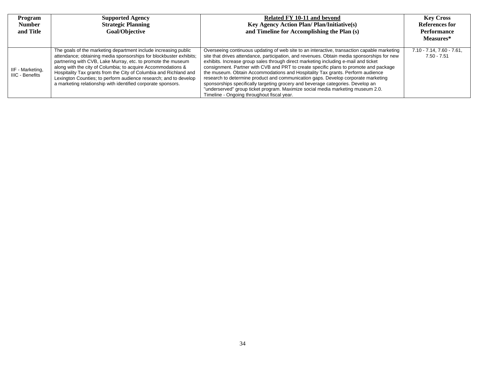| Program<br><b>Number</b><br>and Title | <b>Supported Agency</b><br><b>Strategic Planning</b><br>Goal/Objective                                                                                                                                                                                                                                                                                                                                                                                                         | Related FY 10-11 and beyond<br><b>Key Agency Action Plan/Plan/Initiative(s)</b><br>and Timeline for Accomplishing the Plan (s)                                                                                                                                                                                                                                                                                                                                                                                                                                                                                                                                                                                                                                        | <b>Key Cross</b><br>References for<br>Performance<br>Measures* |
|---------------------------------------|--------------------------------------------------------------------------------------------------------------------------------------------------------------------------------------------------------------------------------------------------------------------------------------------------------------------------------------------------------------------------------------------------------------------------------------------------------------------------------|-----------------------------------------------------------------------------------------------------------------------------------------------------------------------------------------------------------------------------------------------------------------------------------------------------------------------------------------------------------------------------------------------------------------------------------------------------------------------------------------------------------------------------------------------------------------------------------------------------------------------------------------------------------------------------------------------------------------------------------------------------------------------|----------------------------------------------------------------|
| IIF - Marketing,<br>IIIC - Benefits   | The goals of the marketing department include increasing public<br>attendance; obtaining media sponsorships for blockbuster exhibits;<br>partnering with CVB, Lake Murray, etc. to promote the museum<br>along with the city of Columbia; to acquire Accommodations &<br>Hospitality Tax grants from the City of Columbia and Richland and<br>Lexington Counties; to perform audience research; and to develop<br>a marketing relationship with identified corporate sponsors. | Overseeing continuous updating of web site to an interactive, transaction capable marketing<br>site that drives attendance, participation, and revenues. Obtain media sponsorships for new<br>exhibits. Increase group sales through direct marketing including e-mail and ticket<br>consignment. Partner with CVB and PRT to create specific plans to promote and package<br>the museum. Obtain Accommodations and Hospitality Tax grants. Perform audience<br>research to determine product and communication gaps. Develop corporate marketing<br>sponsorships specifically targeting grocery and beverage categories. Develop an<br>"underserved" group ticket program. Maximize social media marketing museum 2.0.<br>Timeline - Ongoing throughout fiscal year. | $7.10 - 7.14$ , $7.60 - 7.61$ ,<br>$7.50 - 7.51$               |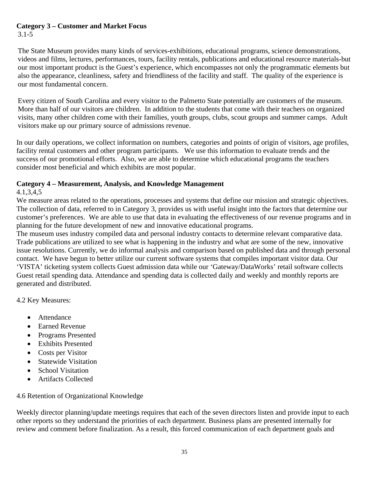# **Category 3 – Customer and Market Focus**

3.1-5

The State Museum provides many kinds of services-exhibitions, educational programs, science demonstrations, videos and films, lectures, performances, tours, facility rentals, publications and educational resource materials-but our most important product is the Guest's experience, which encompasses not only the programmatic elements but also the appearance, cleanliness, safety and friendliness of the facility and staff. The quality of the experience is our most fundamental concern.

Every citizen of South Carolina and every visitor to the Palmetto State potentially are customers of the museum. More than half of our visitors are children. In addition to the students that come with their teachers on organized visits, many other children come with their families, youth groups, clubs, scout groups and summer camps. Adult visitors make up our primary source of admissions revenue.

In our daily operations, we collect information on numbers, categories and points of origin of visitors, age profiles, facility rental customers and other program participants. We use this information to evaluate trends and the success of our promotional efforts. Also, we are able to determine which educational programs the teachers consider most beneficial and which exhibits are most popular.

### **Category 4 – Measurement, Analysis, and Knowledge Management**

#### 4.1,3,4,5

We measure areas related to the operations, processes and systems that define our mission and strategic objectives. The collection of data, referred to in Category 3, provides us with useful insight into the factors that determine our customer's preferences. We are able to use that data in evaluating the effectiveness of our revenue programs and in planning for the future development of new and innovative educational programs.

The museum uses industry compiled data and personal industry contacts to determine relevant comparative data. Trade publications are utilized to see what is happening in the industry and what are some of the new, innovative issue resolutions. Currently, we do informal analysis and comparison based on published data and through personal contact. We have begun to better utilize our current software systems that compiles important visitor data. Our 'VISTA' ticketing system collects Guest admission data while our 'Gateway/DataWorks' retail software collects Guest retail spending data. Attendance and spending data is collected daily and weekly and monthly reports are generated and distributed.

4.2 Key Measures:

- Attendance
- Earned Revenue
- Programs Presented
- Exhibits Presented
- Costs per Visitor
- Statewide Visitation
- School Visitation
- Artifacts Collected

4.6 Retention of Organizational Knowledge

Weekly director planning/update meetings requires that each of the seven directors listen and provide input to each other reports so they understand the priorities of each department. Business plans are presented internally for review and comment before finalization. As a result, this forced communication of each department goals and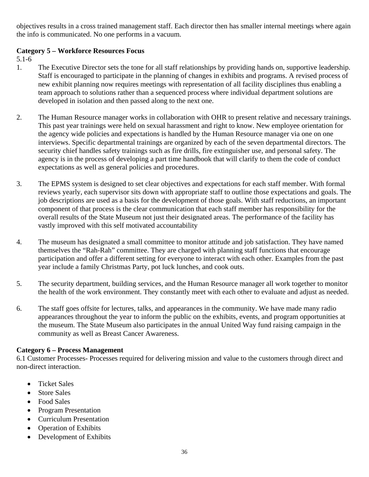objectives results in a cross trained management staff. Each director then has smaller internal meetings where again the info is communicated. No one performs in a vacuum.

### **Category 5 – Workforce Resources Focus**

5.1-6

- 1. The Executive Director sets the tone for all staff relationships by providing hands on, supportive leadership. Staff is encouraged to participate in the planning of changes in exhibits and programs. A revised process of new exhibit planning now requires meetings with representation of all facility disciplines thus enabling a team approach to solutions rather than a sequenced process where individual department solutions are developed in isolation and then passed along to the next one.
- 2. The Human Resource manager works in collaboration with OHR to present relative and necessary trainings. This past year trainings were held on sexual harassment and right to know. New employee orientation for the agency wide policies and expectations is handled by the Human Resource manager via one on one interviews. Specific departmental trainings are organized by each of the seven departmental directors. The security chief handles safety trainings such as fire drills, fire extinguisher use, and personal safety. The agency is in the process of developing a part time handbook that will clarify to them the code of conduct expectations as well as general policies and procedures.
- 3. The EPMS system is designed to set clear objectives and expectations for each staff member. With formal reviews yearly, each supervisor sits down with appropriate staff to outline those expectations and goals. The job descriptions are used as a basis for the development of those goals. With staff reductions, an important component of that process is the clear communication that each staff member has responsibility for the overall results of the State Museum not just their designated areas. The performance of the facility has vastly improved with this self motivated accountability
- 4. The museum has designated a small committee to monitor attitude and job satisfaction. They have named themselves the "Rah-Rah" committee. They are charged with planning staff functions that encourage participation and offer a different setting for everyone to interact with each other. Examples from the past year include a family Christmas Party, pot luck lunches, and cook outs.
- 5. The security department, building services, and the Human Resource manager all work together to monitor the health of the work environment. They constantly meet with each other to evaluate and adjust as needed.
- 6. The staff goes offsite for lectures, talks, and appearances in the community. We have made many radio appearances throughout the year to inform the public on the exhibits, events, and program opportunities at the museum. The State Museum also participates in the annual United Way fund raising campaign in the community as well as Breast Cancer Awareness.

### **Category 6 – Process Management**

6.1 Customer Processes- Processes required for delivering mission and value to the customers through direct and non-direct interaction.

- Ticket Sales
- Store Sales
- Food Sales
- Program Presentation
- Curriculum Presentation
- Operation of Exhibits
- Development of Exhibits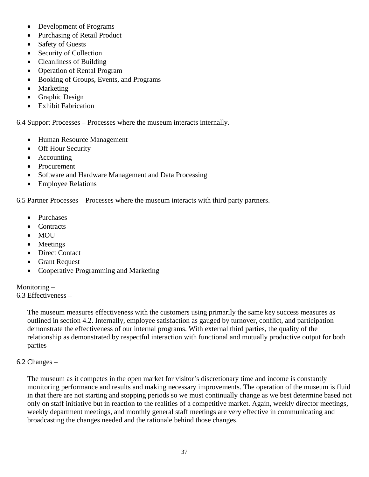- Development of Programs
- Purchasing of Retail Product
- Safety of Guests
- Security of Collection
- Cleanliness of Building
- Operation of Rental Program
- Booking of Groups, Events, and Programs
- Marketing
- Graphic Design
- Exhibit Fabrication

6.4 Support Processes – Processes where the museum interacts internally.

- Human Resource Management
- Off Hour Security
- Accounting
- Procurement
- Software and Hardware Management and Data Processing
- Employee Relations

6.5 Partner Processes – Processes where the museum interacts with third party partners.

- Purchases
- Contracts
- MOU
- Meetings
- Direct Contact
- Grant Request
- Cooperative Programming and Marketing

#### Monitoring –

6.3 Effectiveness –

The museum measures effectiveness with the customers using primarily the same key success measures as outlined in section 4.2. Internally, employee satisfaction as gauged by turnover, conflict, and participation demonstrate the effectiveness of our internal programs. With external third parties, the quality of the relationship as demonstrated by respectful interaction with functional and mutually productive output for both parties

#### 6.2 Changes –

The museum as it competes in the open market for visitor's discretionary time and income is constantly monitoring performance and results and making necessary improvements. The operation of the museum is fluid in that there are not starting and stopping periods so we must continually change as we best determine based not only on staff initiative but in reaction to the realities of a competitive market. Again, weekly director meetings, weekly department meetings, and monthly general staff meetings are very effective in communicating and broadcasting the changes needed and the rationale behind those changes.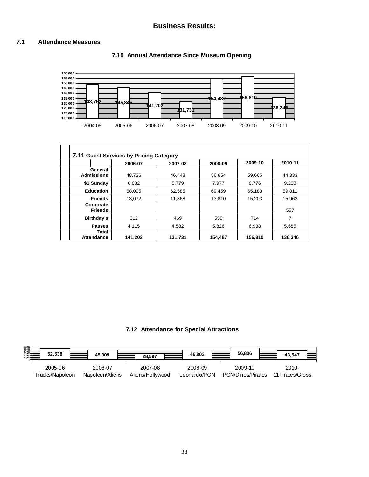#### **7.1 Attendance Measures**





| 7.11 Guest Services by Pricing Category |         |         |         |         |         |  |
|-----------------------------------------|---------|---------|---------|---------|---------|--|
|                                         | 2006-07 | 2007-08 | 2008-09 | 2009-10 | 2010-11 |  |
| General<br><b>Admissions</b>            | 48.726  | 46.448  | 56.654  | 59.665  | 44.333  |  |
| \$1 Sunday                              | 6,882   | 5,779   | 7.977   | 8,776   | 9,238   |  |
| <b>Education</b>                        | 68.095  | 62,585  | 69,459  | 65,183  | 59,811  |  |
| <b>Friends</b>                          | 13.072  | 11,868  | 13,810  | 15,203  | 15,962  |  |
| Corporate<br><b>Friends</b>             |         |         |         |         | 557     |  |
| Birthday's                              | 312     | 469     | 558     | 714     | 7       |  |
| <b>Passes</b>                           | 4,115   | 4,582   | 5,826   | 6,938   | 5,685   |  |
| Total<br><b>Attendance</b>              | 141,202 | 131.731 | 154.487 | 156,810 | 136.346 |  |

#### **7.12 Attendance for Special Attractions**

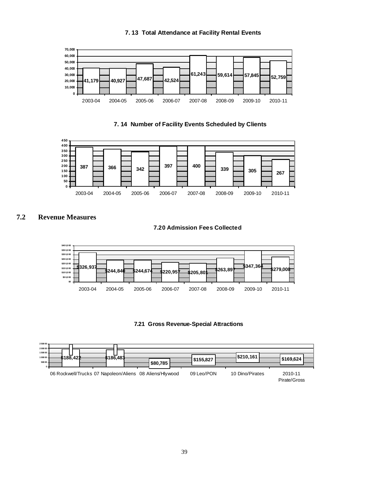

#### **7. 14 Number of Facility Events Scheduled by Clients**



#### **7.2 Revenue Measures**

**7.20 Admission Fees Collected** 







#### **7. 13 Total Attendance at Facility Rental Events**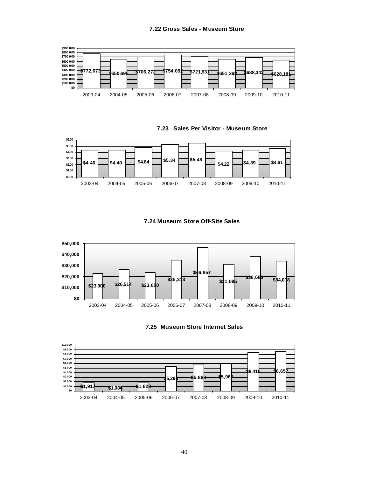#### **7.22 Gross Sales - Museum Store**







#### **7.24 Museum Store Off-Site Sales**





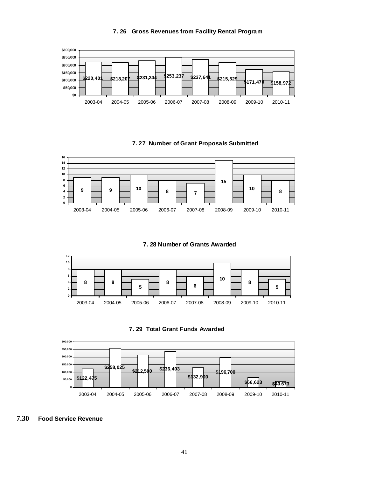



#### **7. 27 Number of Grant Proposals Submitted**



**7. 28 Number of Grants Awarded**







**7.30 Food Service Revenue**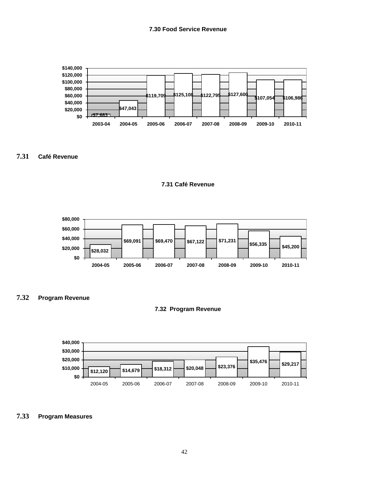**7.30 Food Service Revenue**



#### **7.31 Café Revenue**





**7.32 Program Revenue**





#### **7.33 Program Measures**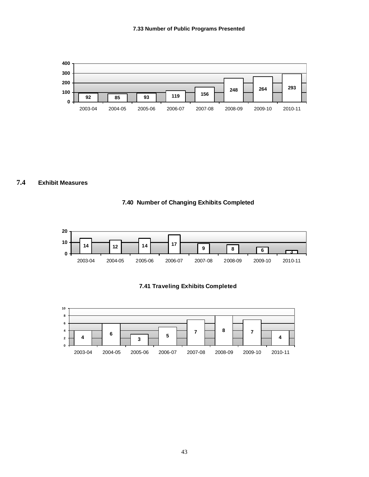

**7.4 Exhibit Measures** 







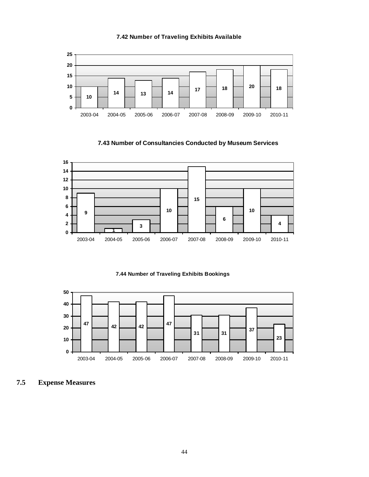#### **7.42 Number of Traveling Exhibits Available**



**7.43 Number of Consultancies Conducted by Museum Services**



**7.44 Number of Traveling Exhibits Bookings** 



**7.5 Expense Measures**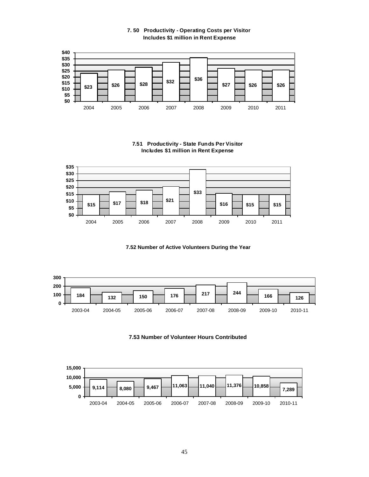**7. 50 Productivity - Operating Costs per Visitor Includes \$1 million in Rent Expense**



**7.51 Productivity - State Funds Per Visitor Includes \$1 million in Rent Expense**



**7.52 Number of Active Volunteers During the Year**



**7.53 Number of Volunteer Hours Contributed**

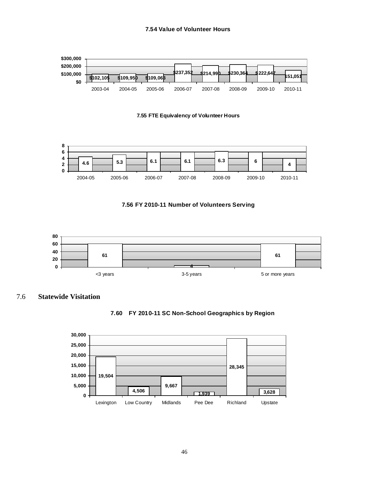#### **7.54 Value of Volunteer Hours**







#### **7.56 FY 2010-11 Number of Volunteers Serving**



#### 7.6 **Statewide Visitation**



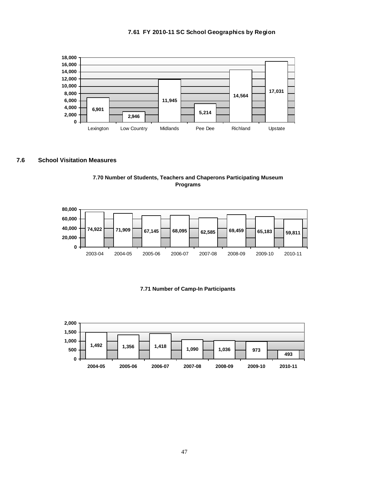



#### **7.6 School Visitation Measures**





#### **7.71 Number of Camp-In Participants**

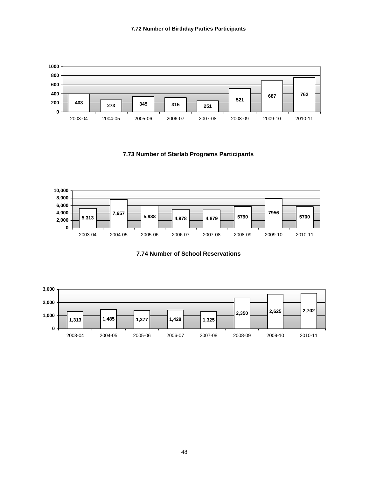

**7.73 Number of Starlab Programs Participants**



**7.74 Number of School Reservations**